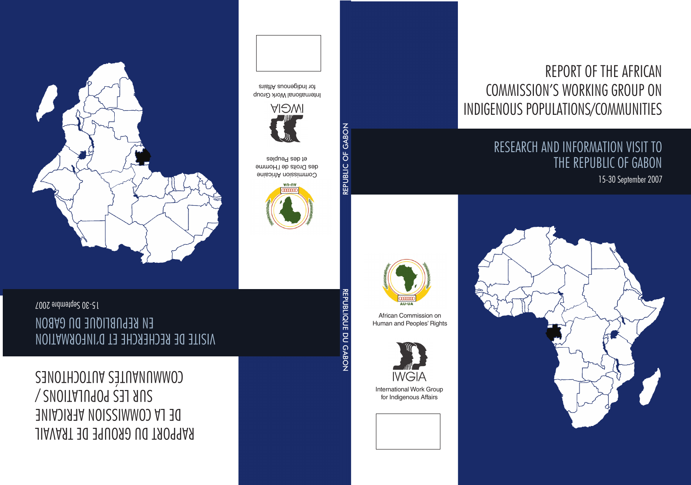# REPORT OF THE AFRICAN COMMISSION'S WORKING GROUP ON INDIGENOUS POPULATIONS/COMMUNITIES

### RESEARCH AND INFORMATION VISIT TO THE REPUBLIC of GABON

15-30 September 2007





African Commission on Human and Peoples' Rights



International Work Group for Indigenous Affairs

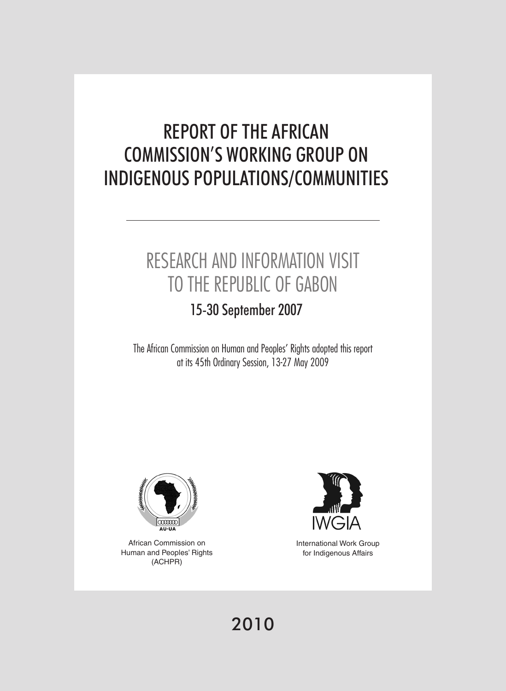# REPORT OF THE AFRICAN COMMISSION'S WORKING GROUP ON INDIGENOUS POPULATIONS/COMMUNITIES

# RESEARCH AND INFORMATION VISIT TO THE REPUBLIC OF GABON

### 15-30 September 2007

The African Commission on Human and Peoples' Rights adopted this report at its 45th Ordinary Session, 13-27 May 2009



African Commission on Human and Peoples' Rights (ACHPR)



International Work Group for Indigenous Affairs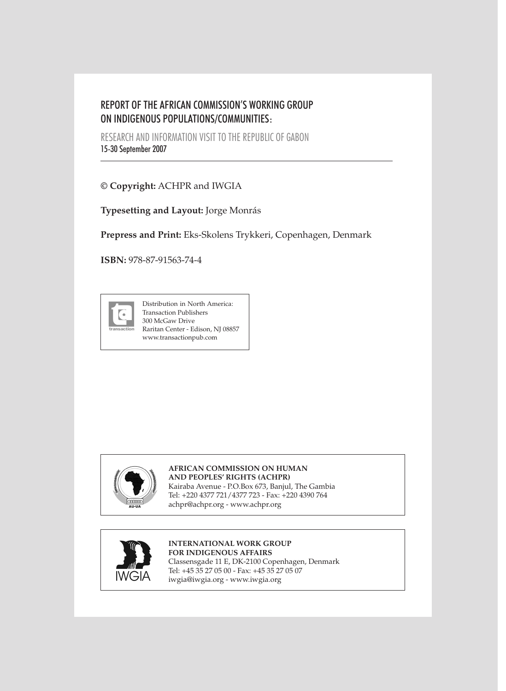#### REPORT OF THE AFRICAN COMMISSION'S WORKING GROUP ON INDIGENOUS POPULATIONS/COMMUNITIES:

RESEARCH AND INFORMATION VISIT TO THE REPUBLIC OF GABON 15-30 September 2007

**© Copyright:** ACHPR and IWGIA

**Typesetting and Layout:** Jorge Monrás

**Prepress and Print:** Eks-Skolens Trykkeri, Copenhagen, Denmark

**ISBN:** 978-87-91563-74-4



Distribution in North America: Transaction Publishers 300 McGaw Drive Raritan Center - Edison, NJ 08857 www.transactionpub.com



#### **African Commission on Human and Peoples' Rights (ACHPR)** Kairaba Avenue - P.O.Box 673, Banjul, The Gambia Tel: +220 4377 721/4377 723 - Fax: +220 4390 764

achpr@achpr.org - www.achpr.org



#### **International Work Group**

**for Indigenous Affairs** Classensgade 11 E, DK-2100 Copenhagen, Denmark Tel: +45 35 27 05 00 - Fax: +45 35 27 05 07 iwgia@iwgia.org - www.iwgia.org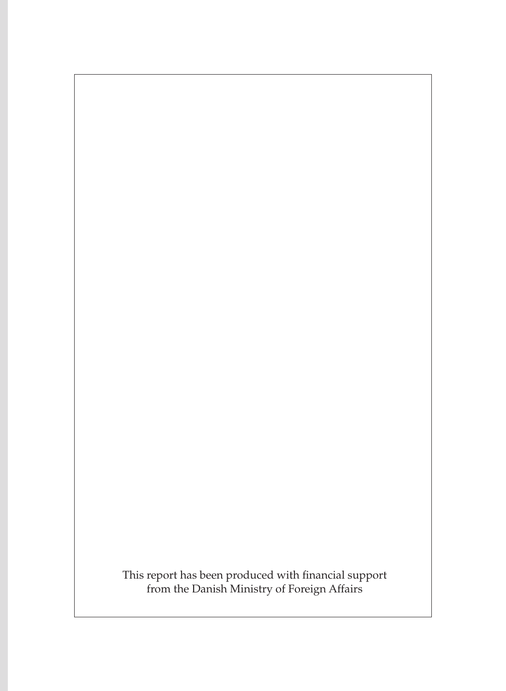This report has been produced with financial support from the Danish Ministry of Foreign Affairs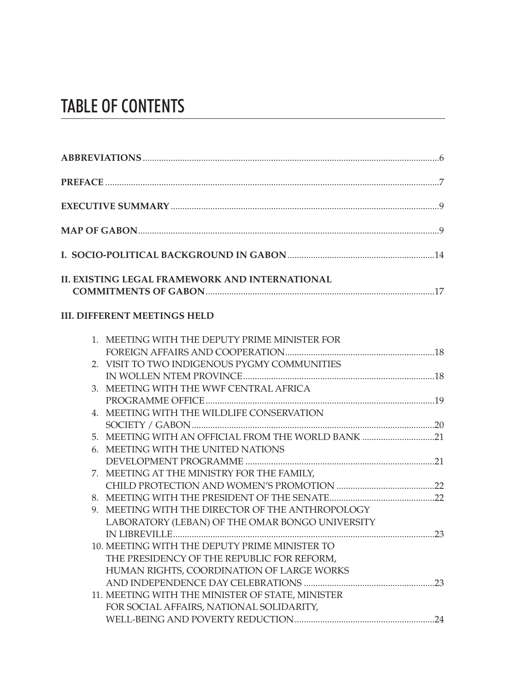## Table of contents

| II. EXISTING LEGAL FRAMEWORK AND INTERNATIONAL                                               |  |
|----------------------------------------------------------------------------------------------|--|
| <b>III. DIFFERENT MEETINGS HELD</b>                                                          |  |
| 1. MEETING WITH THE DEPUTY PRIME MINISTER FOR                                                |  |
| 2. VISIT TO TWO INDIGENOUS PYGMY COMMUNITIES                                                 |  |
| 3. MEETING WITH THE WWF CENTRAL AFRICA                                                       |  |
| 4. MEETING WITH THE WILDLIFE CONSERVATION                                                    |  |
|                                                                                              |  |
| 5. MEETING WITH AN OFFICIAL FROM THE WORLD BANK 21                                           |  |
| 6. MEETING WITH THE UNITED NATIONS                                                           |  |
| 7. MEETING AT THE MINISTRY FOR THE FAMILY,                                                   |  |
|                                                                                              |  |
|                                                                                              |  |
| 9. MEETING WITH THE DIRECTOR OF THE ANTHROPOLOGY                                             |  |
| LABORATORY (LEBAN) OF THE OMAR BONGO UNIVERSITY                                              |  |
|                                                                                              |  |
| 10. MEETING WITH THE DEPUTY PRIME MINISTER TO                                                |  |
| THE PRESIDENCY OF THE REPUBLIC FOR REFORM,                                                   |  |
| HUMAN RIGHTS, COORDINATION OF LARGE WORKS                                                    |  |
|                                                                                              |  |
| 11. MEETING WITH THE MINISTER OF STATE, MINISTER<br>FOR SOCIAL AFFAIRS, NATIONAL SOLIDARITY, |  |
|                                                                                              |  |
|                                                                                              |  |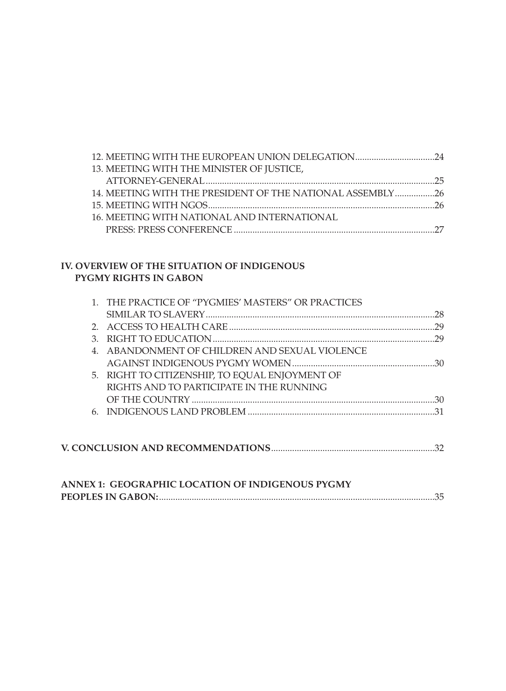| 12. MEETING WITH THE EUROPEAN UNION DELEGATION24          |  |
|-----------------------------------------------------------|--|
| 13. MEETING WITH THE MINISTER OF JUSTICE,                 |  |
|                                                           |  |
| 14. MEETING WITH THE PRESIDENT OF THE NATIONAL ASSEMBLY26 |  |
|                                                           |  |
| <b>16. MEETING WITH NATIONAL AND INTERNATIONAL</b>        |  |
|                                                           |  |

#### **IV. OVERVIEW OF THE SITUATION OF INDIGENOUS PYGMY RIGHTS IN GABON**

|    | 1. THE PRACTICE OF "PYGMIES' MASTERS" OR PRACTICES |     |
|----|----------------------------------------------------|-----|
|    |                                                    |     |
|    |                                                    |     |
| 3. |                                                    |     |
|    | 4. ABANDONMENT OF CHILDREN AND SEXUAL VIOLENCE     |     |
|    |                                                    |     |
|    | 5. RIGHT TO CITIZENSHIP, TO EQUAL ENJOYMENT OF     |     |
|    | RIGHTS AND TO PARTICIPATE IN THE RUNNING           |     |
|    |                                                    | -30 |
|    |                                                    |     |
|    |                                                    |     |
|    |                                                    |     |
|    |                                                    |     |
|    |                                                    |     |

| <b>ANNEX 1: GEOGRAPHIC LOCATION OF INDIGENOUS PYGMY</b> |  |
|---------------------------------------------------------|--|
|                                                         |  |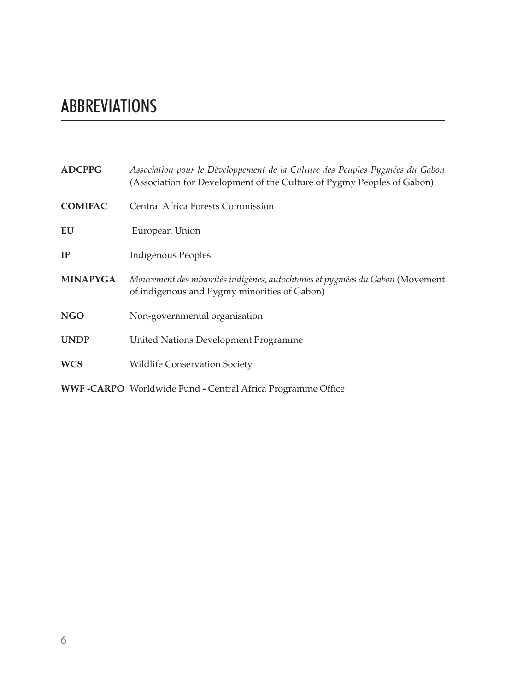# ABBREVIATIONS

| <b>ADCPPG</b>   | Association pour le Développement de la Culture des Peuples Pygmées du Gabon<br>(Association for Development of the Culture of Pygmy Peoples of Gabon) |
|-----------------|--------------------------------------------------------------------------------------------------------------------------------------------------------|
| <b>COMIFAC</b>  | <b>Central Africa Forests Commission</b>                                                                                                               |
| EU              | European Union                                                                                                                                         |
| IP              | Indigenous Peoples                                                                                                                                     |
| <b>MINAPYGA</b> | Mouvement des minorités indigènes, autochtones et pygmées du Gabon (Movement<br>of indigenous and Pygmy minorities of Gabon)                           |
| <b>NGO</b>      | Non-governmental organisation                                                                                                                          |
| <b>UNDP</b>     | United Nations Development Programme                                                                                                                   |
| <b>WCS</b>      | <b>Wildlife Conservation Society</b>                                                                                                                   |
|                 | <b>WWF-CARPO</b> Worldwide Fund - Central Africa Programme Office                                                                                      |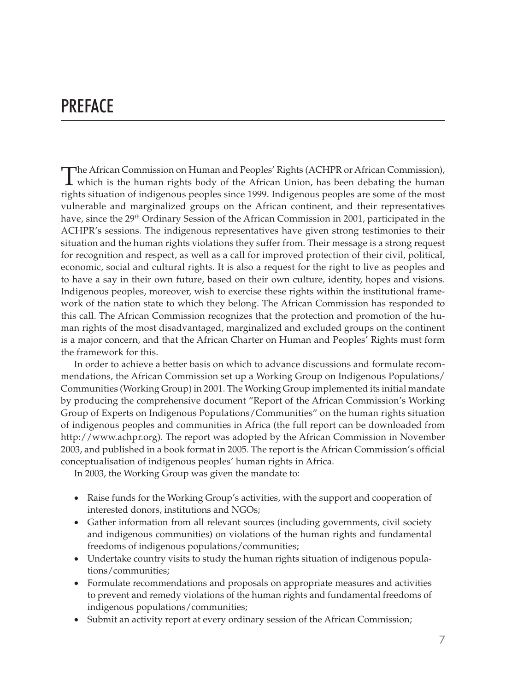### **PREFACE**

The African Commission on Human and Peoples' Rights (ACHPR or African Commission), which is the human rights body of the African Union, has been debating the human rights situation of indigenous peoples since 1999. Indigenous peoples are some of the most vulnerable and marginalized groups on the African continent, and their representatives have, since the 29<sup>th</sup> Ordinary Session of the African Commission in 2001, participated in the ACHPR's sessions. The indigenous representatives have given strong testimonies to their situation and the human rights violations they suffer from. Their message is a strong request for recognition and respect, as well as a call for improved protection of their civil, political, economic, social and cultural rights. It is also a request for the right to live as peoples and to have a say in their own future, based on their own culture, identity, hopes and visions. Indigenous peoples, moreover, wish to exercise these rights within the institutional framework of the nation state to which they belong. The African Commission has responded to this call. The African Commission recognizes that the protection and promotion of the human rights of the most disadvantaged, marginalized and excluded groups on the continent is a major concern, and that the African Charter on Human and Peoples' Rights must form the framework for this.

In order to achieve a better basis on which to advance discussions and formulate recommendations, the African Commission set up a Working Group on Indigenous Populations/ Communities (Working Group) in 2001. The Working Group implemented its initial mandate by producing the comprehensive document "Report of the African Commission's Working Group of Experts on Indigenous Populations/Communities" on the human rights situation of indigenous peoples and communities in Africa (the full report can be downloaded from http://www.achpr.org). The report was adopted by the African Commission in November 2003, and published in a book format in 2005. The report is the African Commission's official conceptualisation of indigenous peoples' human rights in Africa.

In 2003, the Working Group was given the mandate to:

- Raise funds for the Working Group's activities, with the support and cooperation of interested donors, institutions and NGOs;
- • Gather information from all relevant sources (including governments, civil society and indigenous communities) on violations of the human rights and fundamental freedoms of indigenous populations/communities;
- • Undertake country visits to study the human rights situation of indigenous populations/communities;
- • Formulate recommendations and proposals on appropriate measures and activities to prevent and remedy violations of the human rights and fundamental freedoms of indigenous populations/communities;
- Submit an activity report at every ordinary session of the African Commission;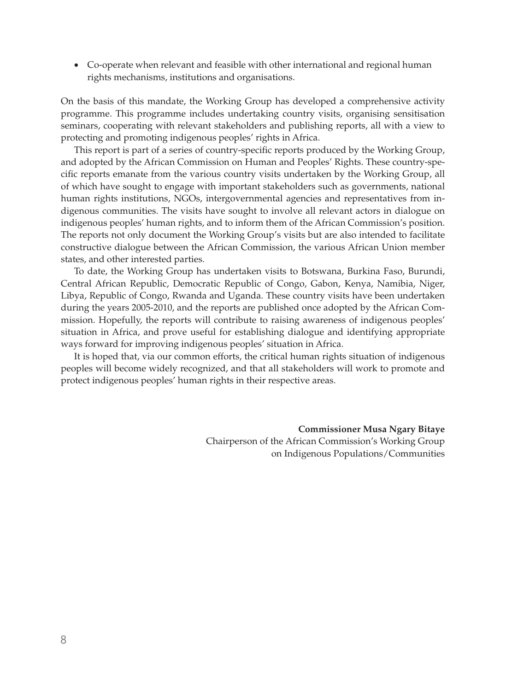• Co-operate when relevant and feasible with other international and regional human rights mechanisms, institutions and organisations.

On the basis of this mandate, the Working Group has developed a comprehensive activity programme. This programme includes undertaking country visits, organising sensitisation seminars, cooperating with relevant stakeholders and publishing reports, all with a view to protecting and promoting indigenous peoples' rights in Africa.

This report is part of a series of country-specific reports produced by the Working Group, and adopted by the African Commission on Human and Peoples' Rights. These country-specific reports emanate from the various country visits undertaken by the Working Group, all of which have sought to engage with important stakeholders such as governments, national human rights institutions, NGOs, intergovernmental agencies and representatives from indigenous communities. The visits have sought to involve all relevant actors in dialogue on indigenous peoples' human rights, and to inform them of the African Commission's position. The reports not only document the Working Group's visits but are also intended to facilitate constructive dialogue between the African Commission, the various African Union member states, and other interested parties.

To date, the Working Group has undertaken visits to Botswana, Burkina Faso, Burundi, Central African Republic, Democratic Republic of Congo, Gabon, Kenya, Namibia, Niger, Libya, Republic of Congo, Rwanda and Uganda. These country visits have been undertaken during the years 2005-2010, and the reports are published once adopted by the African Commission. Hopefully, the reports will contribute to raising awareness of indigenous peoples' situation in Africa, and prove useful for establishing dialogue and identifying appropriate ways forward for improving indigenous peoples' situation in Africa.

It is hoped that, via our common efforts, the critical human rights situation of indigenous peoples will become widely recognized, and that all stakeholders will work to promote and protect indigenous peoples' human rights in their respective areas.

> **Commissioner Musa Ngary Bitaye**  Chairperson of the African Commission's Working Group on Indigenous Populations/Communities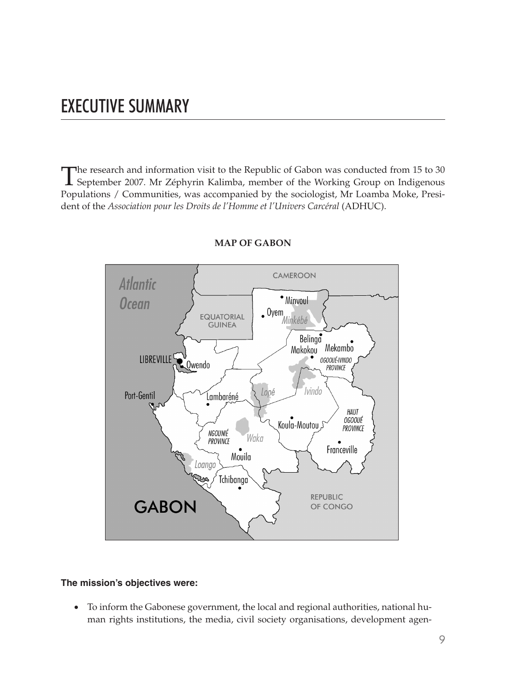### EXECUTIVE SUMMARY

The research and information visit to the Republic of Gabon was conducted from 15 to 30<br>September 2007. Mr Zéphyrin Kalimba, member of the Working Group on Indigenous Populations / Communities, was accompanied by the sociologist, Mr Loamba Moke, President of the *Association pour les Droits de l'Homme et l'Univers Carcéral* (ADHUC).



#### **MAP OF GABON**

#### **The mission's objectives were:**

• To inform the Gabonese government, the local and regional authorities, national human rights institutions, the media, civil society organisations, development agen-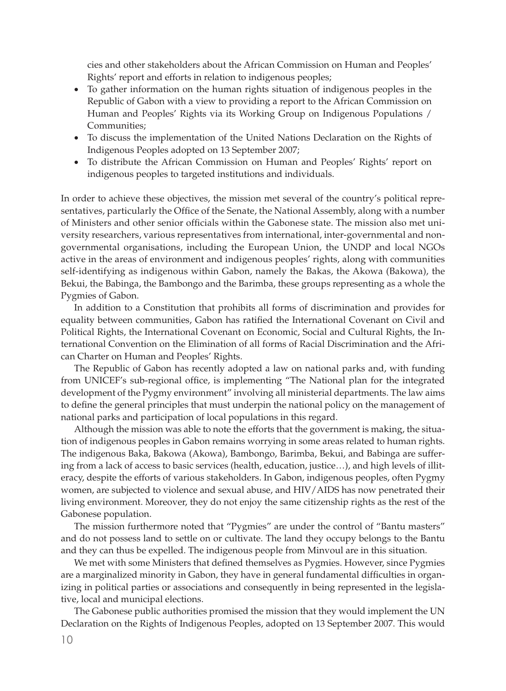cies and other stakeholders about the African Commission on Human and Peoples' Rights' report and efforts in relation to indigenous peoples;

- To gather information on the human rights situation of indigenous peoples in the Republic of Gabon with a view to providing a report to the African Commission on Human and Peoples' Rights via its Working Group on Indigenous Populations / Communities;
- • To discuss the implementation of the United Nations Declaration on the Rights of Indigenous Peoples adopted on 13 September 2007;
- To distribute the African Commission on Human and Peoples' Rights' report on indigenous peoples to targeted institutions and individuals.

In order to achieve these objectives, the mission met several of the country's political representatives, particularly the Office of the Senate, the National Assembly, along with a number of Ministers and other senior officials within the Gabonese state. The mission also met university researchers, various representatives from international, inter-governmental and nongovernmental organisations, including the European Union, the UNDP and local NGOs active in the areas of environment and indigenous peoples' rights, along with communities self-identifying as indigenous within Gabon, namely the Bakas, the Akowa (Bakowa), the Bekui, the Babinga, the Bambongo and the Barimba, these groups representing as a whole the Pygmies of Gabon.

In addition to a Constitution that prohibits all forms of discrimination and provides for equality between communities, Gabon has ratified the International Covenant on Civil and Political Rights, the International Covenant on Economic, Social and Cultural Rights, the International Convention on the Elimination of all forms of Racial Discrimination and the African Charter on Human and Peoples' Rights.

The Republic of Gabon has recently adopted a law on national parks and, with funding from UNICEF's sub-regional office, is implementing "The National plan for the integrated development of the Pygmy environment" involving all ministerial departments. The law aims to define the general principles that must underpin the national policy on the management of national parks and participation of local populations in this regard.

Although the mission was able to note the efforts that the government is making, the situation of indigenous peoples in Gabon remains worrying in some areas related to human rights. The indigenous Baka, Bakowa (Akowa), Bambongo, Barimba, Bekui, and Babinga are suffering from a lack of access to basic services (health, education, justice…), and high levels of illiteracy, despite the efforts of various stakeholders. In Gabon, indigenous peoples, often Pygmy women, are subjected to violence and sexual abuse, and HIV/AIDS has now penetrated their living environment. Moreover, they do not enjoy the same citizenship rights as the rest of the Gabonese population.

The mission furthermore noted that "Pygmies" are under the control of "Bantu masters" and do not possess land to settle on or cultivate. The land they occupy belongs to the Bantu and they can thus be expelled. The indigenous people from Minvoul are in this situation.

We met with some Ministers that defined themselves as Pygmies. However, since Pygmies are a marginalized minority in Gabon, they have in general fundamental difficulties in organizing in political parties or associations and consequently in being represented in the legislative, local and municipal elections.

The Gabonese public authorities promised the mission that they would implement the UN Declaration on the Rights of Indigenous Peoples, adopted on 13 September 2007. This would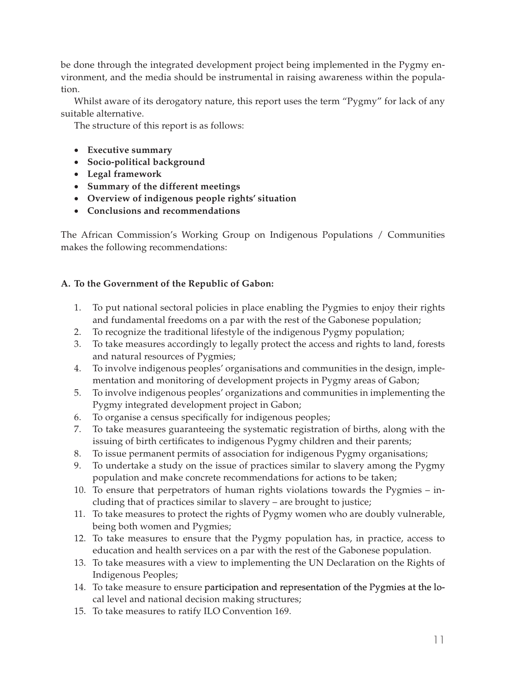be done through the integrated development project being implemented in the Pygmy environment, and the media should be instrumental in raising awareness within the population.

Whilst aware of its derogatory nature, this report uses the term "Pygmy" for lack of any suitable alternative.

The structure of this report is as follows:

- • **Executive summary**
- • **Socio-political background**
- • **Legal framework**
- • **Summary of the different meetings**
- • **Overview of indigenous people rights' situation**
- • **Conclusions and recommendations**

The African Commission's Working Group on Indigenous Populations / Communities makes the following recommendations:

#### **A. To the Government of the Republic of Gabon:**

- 1. To put national sectoral policies in place enabling the Pygmies to enjoy their rights and fundamental freedoms on a par with the rest of the Gabonese population;
- 2. To recognize the traditional lifestyle of the indigenous Pygmy population;
- 3. To take measures accordingly to legally protect the access and rights to land, forests and natural resources of Pygmies;
- 4. To involve indigenous peoples' organisations and communities in the design, implementation and monitoring of development projects in Pygmy areas of Gabon;
- 5. To involve indigenous peoples' organizations and communities in implementing the Pygmy integrated development project in Gabon;
- 6. To organise a census specifically for indigenous peoples;
- 7. To take measures guaranteeing the systematic registration of births, along with the issuing of birth certificates to indigenous Pygmy children and their parents;
- 8. To issue permanent permits of association for indigenous Pygmy organisations;
- 9. To undertake a study on the issue of practices similar to slavery among the Pygmy population and make concrete recommendations for actions to be taken;
- 10. To ensure that perpetrators of human rights violations towards the Pygmies including that of practices similar to slavery – are brought to justice;
- 11. To take measures to protect the rights of Pygmy women who are doubly vulnerable, being both women and Pygmies;
- 12. To take measures to ensure that the Pygmy population has, in practice, access to education and health services on a par with the rest of the Gabonese population.
- 13. To take measures with a view to implementing the UN Declaration on the Rights of Indigenous Peoples;
- 14. To take measure to ensure participation and representation of the Pygmies at the local level and national decision making structures;
- 15. To take measures to ratify ILO Convention 169.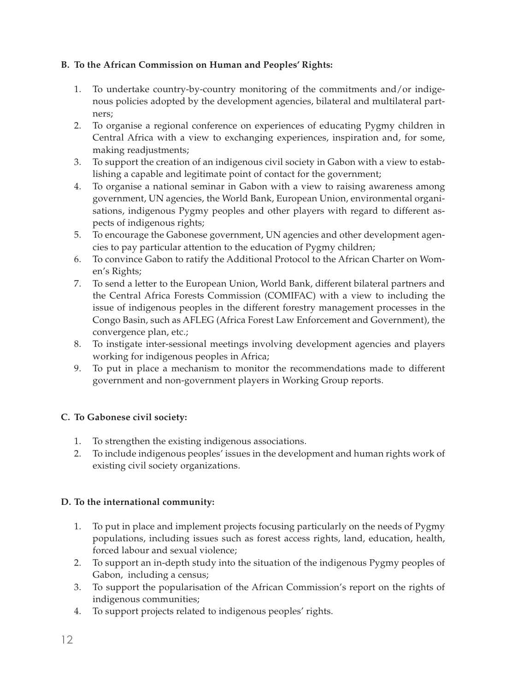#### **B. To the African Commission on Human and Peoples' Rights:**

- 1. To undertake country-by-country monitoring of the commitments and/or indigenous policies adopted by the development agencies, bilateral and multilateral partners;
- 2. To organise a regional conference on experiences of educating Pygmy children in Central Africa with a view to exchanging experiences, inspiration and, for some, making readjustments;
- 3. To support the creation of an indigenous civil society in Gabon with a view to establishing a capable and legitimate point of contact for the government;
- 4. To organise a national seminar in Gabon with a view to raising awareness among government, UN agencies, the World Bank, European Union, environmental organisations, indigenous Pygmy peoples and other players with regard to different aspects of indigenous rights;
- 5. To encourage the Gabonese government, UN agencies and other development agencies to pay particular attention to the education of Pygmy children;
- 6. To convince Gabon to ratify the Additional Protocol to the African Charter on Women's Rights;
- 7. To send a letter to the European Union, World Bank, different bilateral partners and the Central Africa Forests Commission (COMIFAC) with a view to including the issue of indigenous peoples in the different forestry management processes in the Congo Basin, such as AFLEG (Africa Forest Law Enforcement and Government), the convergence plan, etc.;
- 8. To instigate inter-sessional meetings involving development agencies and players working for indigenous peoples in Africa;
- 9. To put in place a mechanism to monitor the recommendations made to different government and non-government players in Working Group reports.

#### **C. To Gabonese civil society:**

- 1. To strengthen the existing indigenous associations.
- 2. To include indigenous peoples' issues in the development and human rights work of existing civil society organizations.

#### **D. To the international community:**

- 1. To put in place and implement projects focusing particularly on the needs of Pygmy populations, including issues such as forest access rights, land, education, health, forced labour and sexual violence;
- 2. To support an in-depth study into the situation of the indigenous Pygmy peoples of Gabon, including a census;
- 3. To support the popularisation of the African Commission's report on the rights of indigenous communities;
- 4. To support projects related to indigenous peoples' rights.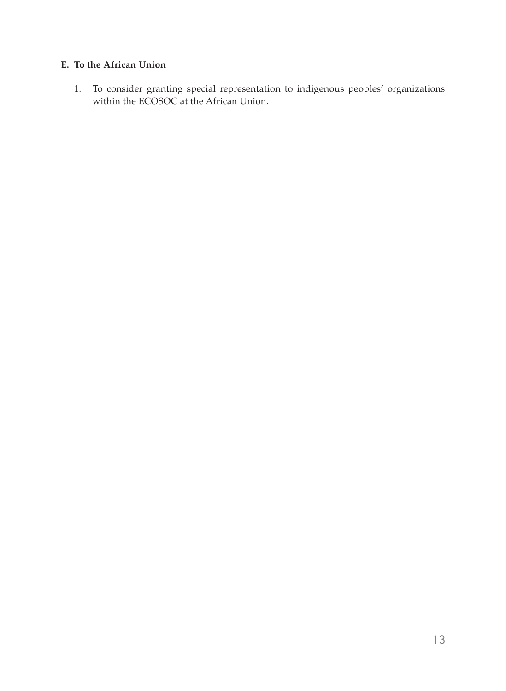#### **E. To the African Union**

1. To consider granting special representation to indigenous peoples' organizations within the ECOSOC at the African Union.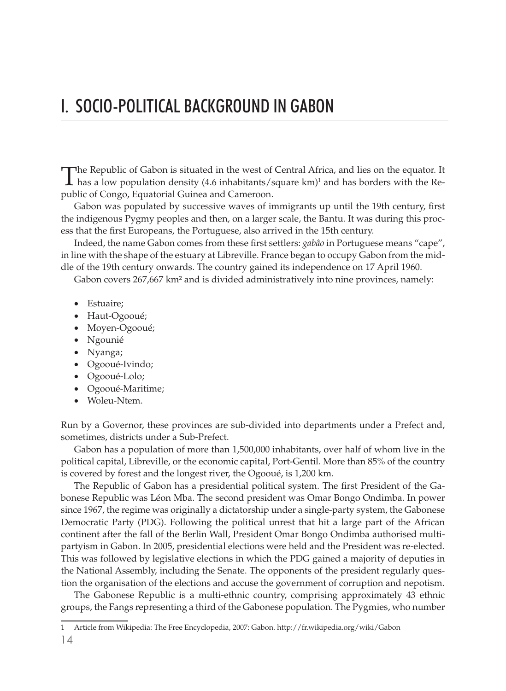### I. SOCIO-POLITICAL BACKGROUND IN GABON

The Republic of Gabon is situated in the west of Central Africa, and lies on the equator. It has a low population density (4.6 inhabitants/square km)<sup>1</sup> and has borders with the Republic of Congo, Equatorial Guinea and Cameroon.

Gabon was populated by successive waves of immigrants up until the 19th century, first the indigenous Pygmy peoples and then, on a larger scale, the Bantu. It was during this process that the first Europeans, the Portuguese, also arrived in the 15th century.

Indeed, the name Gabon comes from these first settlers: *gabâo* in Portuguese means "cape", in line with the shape of the estuary at Libreville. France began to occupy Gabon from the middle of the 19th century onwards. The country gained its independence on 17 April 1960.

Gabon covers 267,667 km² and is divided administratively into nine provinces, namely:

- Estuaire;
- Haut-Ogooué;
- Moyen-Ogooué;
- • Ngounié
- Nyanga;
- • Ogooué-Ivindo;
- Ogooué-Lolo;
- • Ogooué-Maritime;
- Woleu-Ntem.

Run by a Governor, these provinces are sub-divided into departments under a Prefect and, sometimes, districts under a Sub-Prefect.

Gabon has a population of more than 1,500,000 inhabitants, over half of whom live in the political capital, Libreville, or the economic capital, Port-Gentil. More than 85% of the country is covered by forest and the longest river, the Ogooué, is 1,200 km.

The Republic of Gabon has a presidential political system. The first President of the Gabonese Republic was Léon Mba. The second president was Omar Bongo Ondimba. In power since 1967, the regime was originally a dictatorship under a single-party system, the Gabonese Democratic Party (PDG). Following the political unrest that hit a large part of the African continent after the fall of the Berlin Wall, President Omar Bongo Ondimba authorised multipartyism in Gabon. In 2005, presidential elections were held and the President was re-elected. This was followed by legislative elections in which the PDG gained a majority of deputies in the National Assembly, including the Senate. The opponents of the president regularly question the organisation of the elections and accuse the government of corruption and nepotism.

The Gabonese Republic is a multi-ethnic country, comprising approximately 43 ethnic groups, the Fangs representing a third of the Gabonese population. The Pygmies, who number

<sup>1</sup> Article from Wikipedia: The Free Encyclopedia, 2007: Gabon. http://fr.wikipedia.org/wiki/Gabon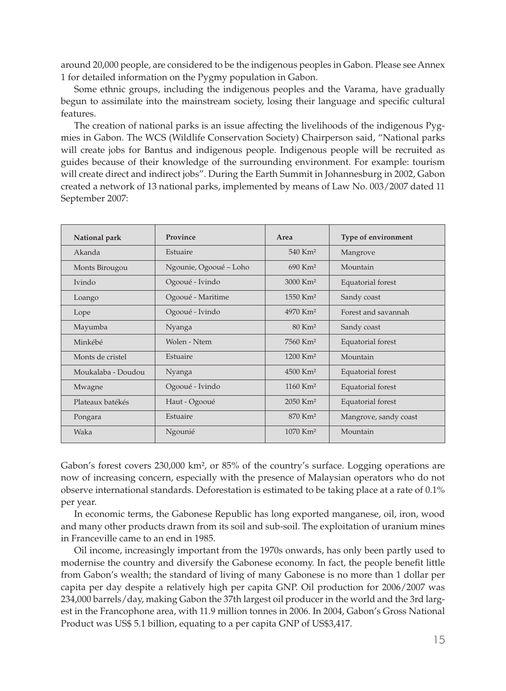around 20,000 people, are considered to be the indigenous peoples in Gabon. Please see Annex 1 for detailed information on the Pygmy population in Gabon.

Some ethnic groups, including the indigenous peoples and the Varama, have gradually begun to assimilate into the mainstream society, losing their language and specific cultural features.

The creation of national parks is an issue affecting the livelihoods of the indigenous Pygmies in Gabon. The WCS (Wildlife Conservation Society) Chairperson said, "National parks will create jobs for Bantus and indigenous people. Indigenous people will be recruited as guides because of their knowledge of the surrounding environment. For example: tourism will create direct and indirect jobs". During the Earth Summit in Johannesburg in 2002, Gabon created a network of 13 national parks, implemented by means of Law No. 003/2007 dated 11 September 2007:

| National park      | Province               | Area                   | Type of environment   |
|--------------------|------------------------|------------------------|-----------------------|
| Akanda             | Estuaire               | $540$ Km <sup>2</sup>  | Mangrove              |
| Monts Birougou     | Ngounie, Ogooué - Loho | 690 Km <sup>2</sup>    | Mountain              |
| <b>Ivindo</b>      | Ogooué - Ivindo        | 3000 Km <sup>2</sup>   | Equatorial forest     |
| Loango             | Ogooué - Maritime      | $1550$ Km <sup>2</sup> | Sandy coast           |
| Lope               | Ogooué - Ivindo        | 4970 Km <sup>2</sup>   | Forest and savannah   |
| Mayumba            | Nyanga                 | $80$ Km <sup>2</sup>   | Sandy coast           |
| Minkébé            | Wolen - Ntem           | 7560 Km <sup>2</sup>   | Equatorial forest     |
| Monts de cristel   | Estuaire               | $1200$ Km <sup>2</sup> | Mountain              |
| Moukalaba - Doudou | Nyanga                 | $4500$ Km <sup>2</sup> | Equatorial forest     |
| Mwagne             | Ogooué - Ivindo        | $1160$ Km <sup>2</sup> | Equatorial forest     |
| Plateaux batékés   | Haut - Ogooué          | $2050$ Km <sup>2</sup> | Equatorial forest     |
| Pongara            | Estuaire               | 870 Km <sup>2</sup>    | Mangrove, sandy coast |
| Waka               | Ngounié                | $1070$ Km <sup>2</sup> | Mountain              |

Gabon's forest covers 230,000 km², or 85% of the country's surface. Logging operations are now of increasing concern, especially with the presence of Malaysian operators who do not observe international standards. Deforestation is estimated to be taking place at a rate of 0.1% per year.

In economic terms, the Gabonese Republic has long exported manganese, oil, iron, wood and many other products drawn from its soil and sub-soil. The exploitation of uranium mines in Franceville came to an end in 1985.

Oil income, increasingly important from the 1970s onwards, has only been partly used to modernise the country and diversify the Gabonese economy. In fact, the people benefit little from Gabon's wealth; the standard of living of many Gabonese is no more than 1 dollar per capita per day despite a relatively high per capita GNP. Oil production for 2006/2007 was 234,000 barrels/day, making Gabon the 37th largest oil producer in the world and the 3rd largest in the Francophone area, with 11.9 million tonnes in 2006. In 2004, Gabon's Gross National Product was US\$ 5.1 billion, equating to a per capita GNP of US\$3,417.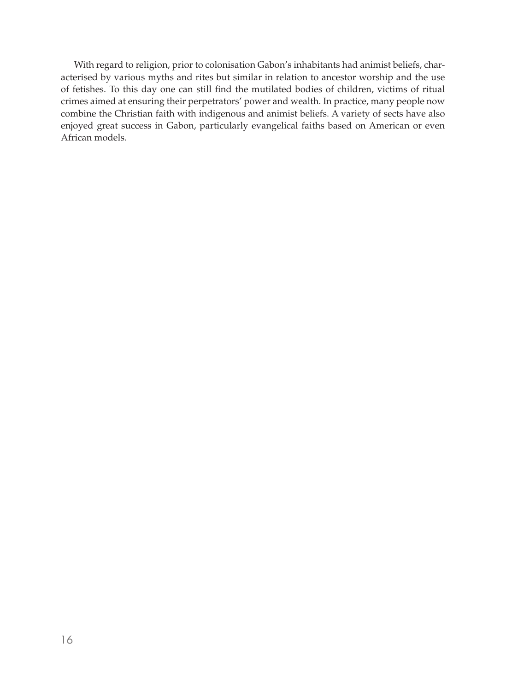With regard to religion, prior to colonisation Gabon's inhabitants had animist beliefs, characterised by various myths and rites but similar in relation to ancestor worship and the use of fetishes. To this day one can still find the mutilated bodies of children, victims of ritual crimes aimed at ensuring their perpetrators' power and wealth. In practice, many people now combine the Christian faith with indigenous and animist beliefs. A variety of sects have also enjoyed great success in Gabon, particularly evangelical faiths based on American or even African models.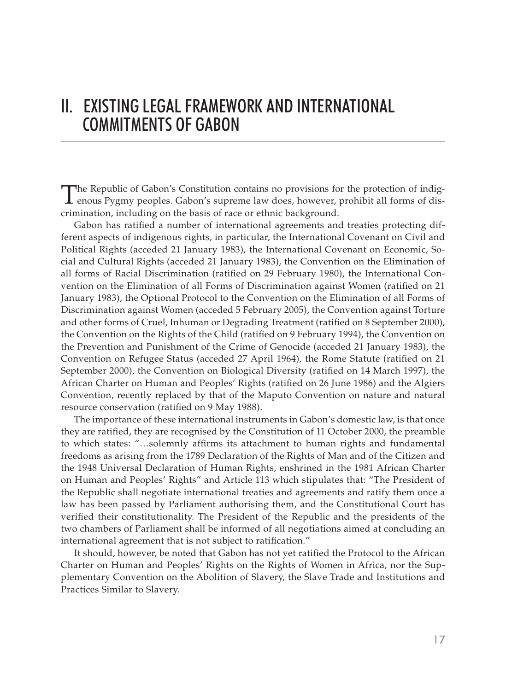### II. EXISTING LEGAL FRAMEWORK AND INTERNATIONAL COMMITMENTS OF GABON

The Republic of Gabon's Constitution contains no provisions for the protection of indig- $\perp$  enous Pygmy peoples. Gabon's supreme law does, however, prohibit all forms of discrimination, including on the basis of race or ethnic background.

Gabon has ratified a number of international agreements and treaties protecting different aspects of indigenous rights, in particular, the International Covenant on Civil and Political Rights (acceded 21 January 1983), the International Covenant on Economic, Social and Cultural Rights (acceded 21 January 1983), the Convention on the Elimination of all forms of Racial Discrimination (ratified on 29 February 1980), the International Convention on the Elimination of all Forms of Discrimination against Women (ratified on 21 January 1983), the Optional Protocol to the Convention on the Elimination of all Forms of Discrimination against Women (acceded 5 February 2005), the Convention against Torture and other forms of Cruel, Inhuman or Degrading Treatment (ratified on 8 September 2000), the Convention on the Rights of the Child (ratified on 9 February 1994), the Convention on the Prevention and Punishment of the Crime of Genocide (acceded 21 January 1983), the Convention on Refugee Status (acceded 27 April 1964), the Rome Statute (ratified on 21 September 2000), the Convention on Biological Diversity (ratified on 14 March 1997), the African Charter on Human and Peoples' Rights (ratified on 26 June 1986) and the Algiers Convention, recently replaced by that of the Maputo Convention on nature and natural resource conservation (ratified on 9 May 1988).

The importance of these international instruments in Gabon's domestic law, is that once they are ratified, they are recognised by the Constitution of 11 October 2000, the preamble to which states: "…solemnly affirms its attachment to human rights and fundamental freedoms as arising from the 1789 Declaration of the Rights of Man and of the Citizen and the 1948 Universal Declaration of Human Rights, enshrined in the 1981 African Charter on Human and Peoples' Rights" and Article 113 which stipulates that: "The President of the Republic shall negotiate international treaties and agreements and ratify them once a law has been passed by Parliament authorising them, and the Constitutional Court has verified their constitutionality. The President of the Republic and the presidents of the two chambers of Parliament shall be informed of all negotiations aimed at concluding an international agreement that is not subject to ratification."

It should, however, be noted that Gabon has not yet ratified the Protocol to the African Charter on Human and Peoples' Rights on the Rights of Women in Africa, nor the Supplementary Convention on the Abolition of Slavery, the Slave Trade and Institutions and Practices Similar to Slavery.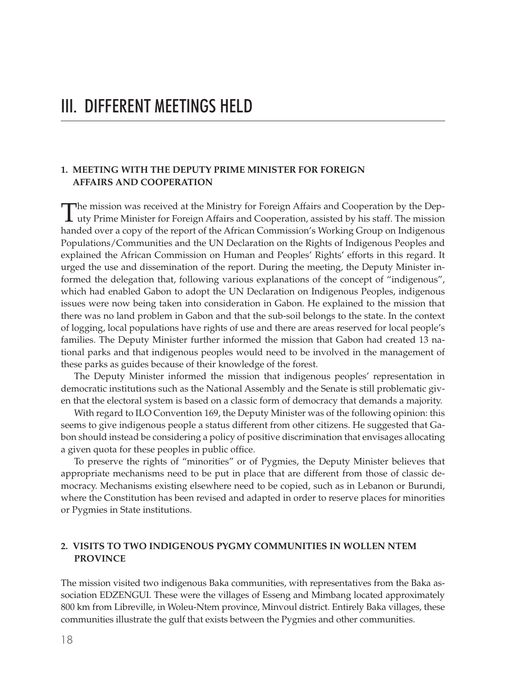#### **1. MEETING WITH THE DEPUTY PRIME MINISTER FOR FOREIGN AFFAIRS AND COOPERATION**

The mission was received at the Ministry for Foreign Affairs and Cooperation by the Dep-<br>uty Prime Minister for Foreign Affairs and Cooperation, assisted by his staff. The mission handed over a copy of the report of the African Commission's Working Group on Indigenous Populations/Communities and the UN Declaration on the Rights of Indigenous Peoples and explained the African Commission on Human and Peoples' Rights' efforts in this regard. It urged the use and dissemination of the report. During the meeting, the Deputy Minister informed the delegation that, following various explanations of the concept of "indigenous", which had enabled Gabon to adopt the UN Declaration on Indigenous Peoples, indigenous issues were now being taken into consideration in Gabon. He explained to the mission that there was no land problem in Gabon and that the sub-soil belongs to the state. In the context of logging, local populations have rights of use and there are areas reserved for local people's families. The Deputy Minister further informed the mission that Gabon had created 13 national parks and that indigenous peoples would need to be involved in the management of these parks as guides because of their knowledge of the forest.

The Deputy Minister informed the mission that indigenous peoples' representation in democratic institutions such as the National Assembly and the Senate is still problematic given that the electoral system is based on a classic form of democracy that demands a majority.

With regard to ILO Convention 169, the Deputy Minister was of the following opinion: this seems to give indigenous people a status different from other citizens. He suggested that Gabon should instead be considering a policy of positive discrimination that envisages allocating a given quota for these peoples in public office.

To preserve the rights of "minorities" or of Pygmies, the Deputy Minister believes that appropriate mechanisms need to be put in place that are different from those of classic democracy. Mechanisms existing elsewhere need to be copied, such as in Lebanon or Burundi, where the Constitution has been revised and adapted in order to reserve places for minorities or Pygmies in State institutions.

#### **2. VISITS TO TWO INDIGENOUS PYGMY COMMUNITIES IN WOLLEN NTEM PROVINCE**

The mission visited two indigenous Baka communities, with representatives from the Baka association EDZENGUI. These were the villages of Esseng and Mimbang located approximately 800 km from Libreville, in Woleu-Ntem province, Minvoul district. Entirely Baka villages, these communities illustrate the gulf that exists between the Pygmies and other communities.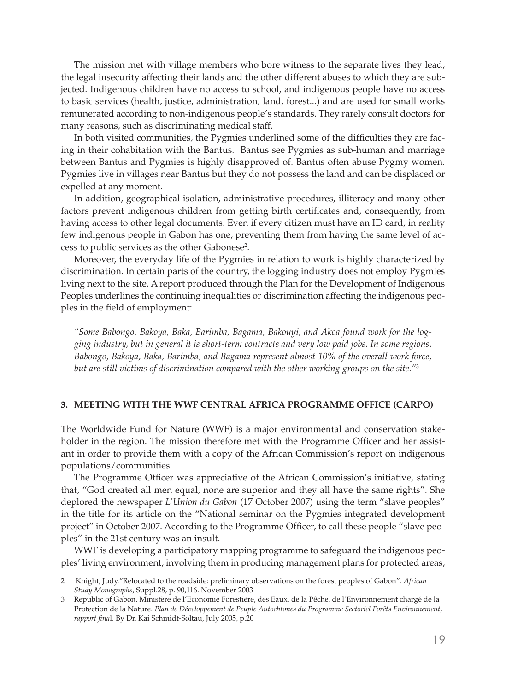The mission met with village members who bore witness to the separate lives they lead, the legal insecurity affecting their lands and the other different abuses to which they are subjected. Indigenous children have no access to school, and indigenous people have no access to basic services (health, justice, administration, land, forest...) and are used for small works remunerated according to non-indigenous people's standards. They rarely consult doctors for many reasons, such as discriminating medical staff.

In both visited communities, the Pygmies underlined some of the difficulties they are facing in their cohabitation with the Bantus. Bantus see Pygmies as sub-human and marriage between Bantus and Pygmies is highly disapproved of. Bantus often abuse Pygmy women. Pygmies live in villages near Bantus but they do not possess the land and can be displaced or expelled at any moment.

In addition, geographical isolation, administrative procedures, illiteracy and many other factors prevent indigenous children from getting birth certificates and, consequently, from having access to other legal documents. Even if every citizen must have an ID card, in reality few indigenous people in Gabon has one, preventing them from having the same level of access to public services as the other Gabonese<sup>2</sup>.

Moreover, the everyday life of the Pygmies in relation to work is highly characterized by discrimination. In certain parts of the country, the logging industry does not employ Pygmies living next to the site. A report produced through the Plan for the Development of Indigenous Peoples underlines the continuing inequalities or discrimination affecting the indigenous peoples in the field of employment:

*"Some Babongo, Bakoya, Baka, Barimba, Bagama, Bakouyi, and Akoa found work for the logging industry, but in general it is short-term contracts and very low paid jobs. In some regions, Babongo, Bakoya, Baka, Barimba, and Bagama represent almost 10% of the overall work force, but are still victims of discrimination compared with the other working groups on the site."*<sup>3</sup>

#### **3. MEETING WITH THE WWF CENTRAL AFRICA PROGRAMME OFFICE (CARPO)**

The Worldwide Fund for Nature (WWF) is a major environmental and conservation stakeholder in the region. The mission therefore met with the Programme Officer and her assistant in order to provide them with a copy of the African Commission's report on indigenous populations/communities.

The Programme Officer was appreciative of the African Commission's initiative, stating that, "God created all men equal, none are superior and they all have the same rights". She deplored the newspaper *L'Union du Gabon* (17 October 2007) using the term "slave peoples" in the title for its article on the "National seminar on the Pygmies integrated development project" in October 2007. According to the Programme Officer, to call these people "slave peoples" in the 21st century was an insult.

WWF is developing a participatory mapping programme to safeguard the indigenous peoples' living environment, involving them in producing management plans for protected areas,

<sup>2</sup> Knight, Judy."Relocated to the roadside: preliminary observations on the forest peoples of Gabon". *African Study Monographs*, Suppl.28, p. 90,116. November 2003

<sup>3</sup> Republic of Gabon. Ministère de l'Economie Forestière, des Eaux, de la Pêche, de l'Environnement chargé de la Protection de la Nature. *Plan de Développement de Peuple Autochtones du Programme Sectoriel Forêts Environnement, rapport fina*l. By Dr. Kai Schmidt-Soltau, July 2005, p.20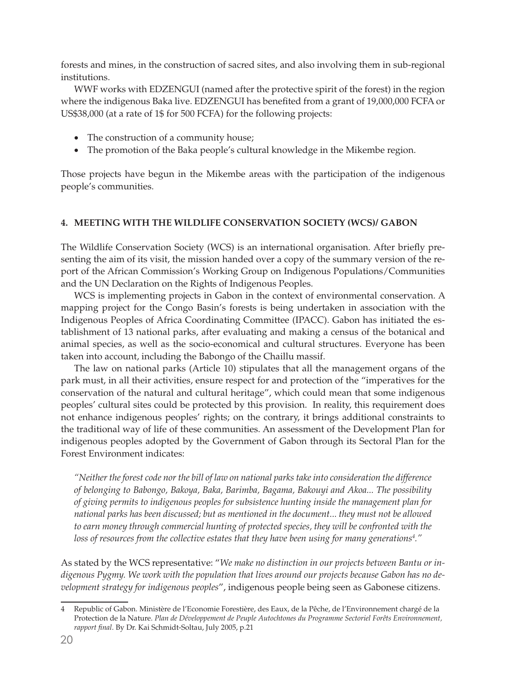forests and mines, in the construction of sacred sites, and also involving them in sub-regional institutions.

WWF works with EDZENGUI (named after the protective spirit of the forest) in the region where the indigenous Baka live. EDZENGUI has benefited from a grant of 19,000,000 FCFA or US\$38,000 (at a rate of 1\$ for 500 FCFA) for the following projects:

- The construction of a community house;
- The promotion of the Baka people's cultural knowledge in the Mikembe region.

Those projects have begun in the Mikembe areas with the participation of the indigenous people's communities.

#### **4. MEETING WITH THE WILDLIFE CONSERVATION SOCIETY (WCS)/ GABON**

The Wildlife Conservation Society (WCS) is an international organisation. After briefly presenting the aim of its visit, the mission handed over a copy of the summary version of the report of the African Commission's Working Group on Indigenous Populations/Communities and the UN Declaration on the Rights of Indigenous Peoples.

WCS is implementing projects in Gabon in the context of environmental conservation. A mapping project for the Congo Basin's forests is being undertaken in association with the Indigenous Peoples of Africa Coordinating Committee (IPACC). Gabon has initiated the establishment of 13 national parks, after evaluating and making a census of the botanical and animal species, as well as the socio-economical and cultural structures. Everyone has been taken into account, including the Babongo of the Chaillu massif.

The law on national parks (Article 10) stipulates that all the management organs of the park must, in all their activities, ensure respect for and protection of the "imperatives for the conservation of the natural and cultural heritage", which could mean that some indigenous peoples' cultural sites could be protected by this provision. In reality, this requirement does not enhance indigenous peoples' rights; on the contrary, it brings additional constraints to the traditional way of life of these communities. An assessment of the Development Plan for indigenous peoples adopted by the Government of Gabon through its Sectoral Plan for the Forest Environment indicates:

*"Neither the forest code nor the bill of law on national parks take into consideration the difference of belonging to Babongo, Bakoya, Baka, Barimba, Bagama, Bakouyi and Akoa... The possibility of giving permits to indigenous peoples for subsistence hunting inside the management plan for national parks has been discussed; but as mentioned in the document... they must not be allowed to earn money through commercial hunting of protected species, they will be confronted with the loss of resources from the collective estates that they have been using for many generations4 ."* 

As stated by the WCS representative: "*We make no distinction in our projects between Bantu or indigenous Pygmy. We work with the population that lives around our projects because Gabon has no development strategy for indigenous peoples*", indigenous people being seen as Gabonese citizens.

<sup>4</sup> Republic of Gabon. Ministère de l'Economie Forestière, des Eaux, de la Pêche, de l'Environnement chargé de la Protection de la Nature. *Plan de Développement de Peuple Autochtones du Programme Sectoriel Forêts Environnement, rapport final*. By Dr. Kai Schmidt-Soltau, July 2005, p.21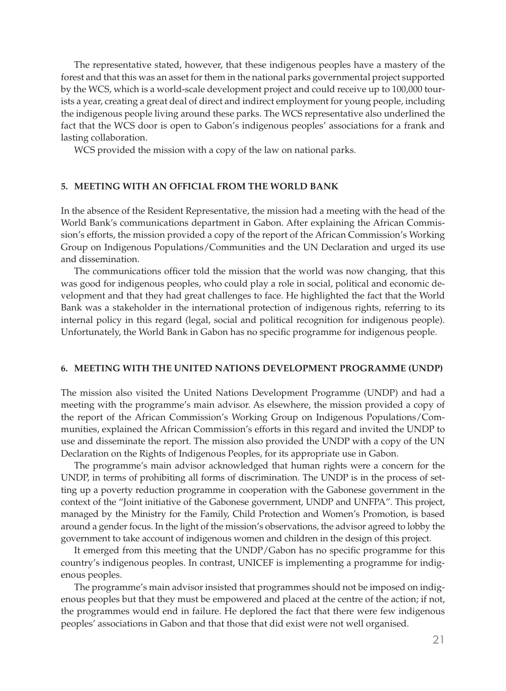The representative stated, however, that these indigenous peoples have a mastery of the forest and that this was an asset for them in the national parks governmental project supported by the WCS, which is a world-scale development project and could receive up to 100,000 tourists a year, creating a great deal of direct and indirect employment for young people, including the indigenous people living around these parks. The WCS representative also underlined the fact that the WCS door is open to Gabon's indigenous peoples' associations for a frank and lasting collaboration.

WCS provided the mission with a copy of the law on national parks.

#### **5. MEETING WITH AN OFFICIAL FROM THE WORLD BANK**

In the absence of the Resident Representative, the mission had a meeting with the head of the World Bank's communications department in Gabon. After explaining the African Commission's efforts, the mission provided a copy of the report of the African Commission's Working Group on Indigenous Populations/Communities and the UN Declaration and urged its use and dissemination.

The communications officer told the mission that the world was now changing, that this was good for indigenous peoples, who could play a role in social, political and economic development and that they had great challenges to face. He highlighted the fact that the World Bank was a stakeholder in the international protection of indigenous rights, referring to its internal policy in this regard (legal, social and political recognition for indigenous people). Unfortunately, the World Bank in Gabon has no specific programme for indigenous people.

#### **6. MEETING WITH THE UNITED NATIONS DEVELOPMENT PROGRAMME (UNDP)**

The mission also visited the United Nations Development Programme (UNDP) and had a meeting with the programme's main advisor. As elsewhere, the mission provided a copy of the report of the African Commission's Working Group on Indigenous Populations/Communities, explained the African Commission's efforts in this regard and invited the UNDP to use and disseminate the report. The mission also provided the UNDP with a copy of the UN Declaration on the Rights of Indigenous Peoples, for its appropriate use in Gabon.

The programme's main advisor acknowledged that human rights were a concern for the UNDP, in terms of prohibiting all forms of discrimination. The UNDP is in the process of setting up a poverty reduction programme in cooperation with the Gabonese government in the context of the "Joint initiative of the Gabonese government, UNDP and UNFPA". This project, managed by the Ministry for the Family, Child Protection and Women's Promotion, is based around a gender focus. In the light of the mission's observations, the advisor agreed to lobby the government to take account of indigenous women and children in the design of this project.

It emerged from this meeting that the UNDP/Gabon has no specific programme for this country's indigenous peoples. In contrast, UNICEF is implementing a programme for indigenous peoples.

The programme's main advisor insisted that programmes should not be imposed on indigenous peoples but that they must be empowered and placed at the centre of the action; if not, the programmes would end in failure. He deplored the fact that there were few indigenous peoples' associations in Gabon and that those that did exist were not well organised.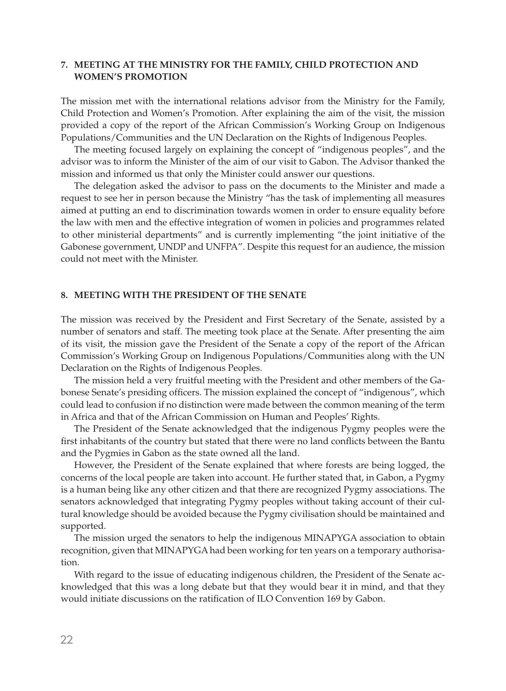#### **7. MEETING AT THE MINISTRY FOR THE FAMILY, CHILD PROTECTION AND WOMEN'S PROMOTION**

The mission met with the international relations advisor from the Ministry for the Family, Child Protection and Women's Promotion. After explaining the aim of the visit, the mission provided a copy of the report of the African Commission's Working Group on Indigenous Populations/Communities and the UN Declaration on the Rights of Indigenous Peoples.

The meeting focused largely on explaining the concept of "indigenous peoples", and the advisor was to inform the Minister of the aim of our visit to Gabon. The Advisor thanked the mission and informed us that only the Minister could answer our questions.

The delegation asked the advisor to pass on the documents to the Minister and made a request to see her in person because the Ministry "has the task of implementing all measures aimed at putting an end to discrimination towards women in order to ensure equality before the law with men and the effective integration of women in policies and programmes related to other ministerial departments" and is currently implementing "the joint initiative of the Gabonese government, UNDP and UNFPA". Despite this request for an audience, the mission could not meet with the Minister.

#### **8. MEETING WITH THE PRESIDENT OF THE SENATE**

The mission was received by the President and First Secretary of the Senate, assisted by a number of senators and staff. The meeting took place at the Senate. After presenting the aim of its visit, the mission gave the President of the Senate a copy of the report of the African Commission's Working Group on Indigenous Populations/Communities along with the UN Declaration on the Rights of Indigenous Peoples.

The mission held a very fruitful meeting with the President and other members of the Gabonese Senate's presiding officers. The mission explained the concept of "indigenous", which could lead to confusion if no distinction were made between the common meaning of the term in Africa and that of the African Commission on Human and Peoples' Rights.

The President of the Senate acknowledged that the indigenous Pygmy peoples were the first inhabitants of the country but stated that there were no land conflicts between the Bantu and the Pygmies in Gabon as the state owned all the land.

However, the President of the Senate explained that where forests are being logged, the concerns of the local people are taken into account. He further stated that, in Gabon, a Pygmy is a human being like any other citizen and that there are recognized Pygmy associations. The senators acknowledged that integrating Pygmy peoples without taking account of their cultural knowledge should be avoided because the Pygmy civilisation should be maintained and supported.

The mission urged the senators to help the indigenous MINAPYGA association to obtain recognition, given that MINAPYGA had been working for ten years on a temporary authorisation.

With regard to the issue of educating indigenous children, the President of the Senate acknowledged that this was a long debate but that they would bear it in mind, and that they would initiate discussions on the ratification of ILO Convention 169 by Gabon.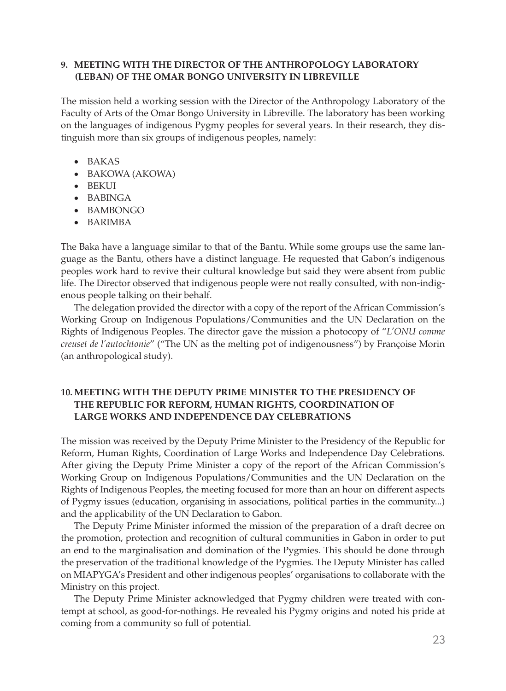#### **9. MEETING WITH THE DIRECTOR OF THE ANTHROPOLOGY LABORATORY (LEBAN) OF THE OMAR BONGO UNIVERSITY IN LIBREVILLE**

The mission held a working session with the Director of the Anthropology Laboratory of the Faculty of Arts of the Omar Bongo University in Libreville. The laboratory has been working on the languages of indigenous Pygmy peoples for several years. In their research, they distinguish more than six groups of indigenous peoples, namely:

- • BAKAS
- BAKOWA (AKOWA)
- • BEKUI
- • BABINGA
- • BAMBONGO
- • BARIMBA

The Baka have a language similar to that of the Bantu. While some groups use the same language as the Bantu, others have a distinct language. He requested that Gabon's indigenous peoples work hard to revive their cultural knowledge but said they were absent from public life. The Director observed that indigenous people were not really consulted, with non-indigenous people talking on their behalf.

The delegation provided the director with a copy of the report of the African Commission's Working Group on Indigenous Populations/Communities and the UN Declaration on the Rights of Indigenous Peoples. The director gave the mission a photocopy of "*L'ONU comme creuset de l'autochtonie*" ("The UN as the melting pot of indigenousness") by Françoise Morin (an anthropological study).

#### **10. MEETING WITH THE DEPUTY PRIME MINISTER TO THE PRESIDENCY OF THE REPUBLIC FOR REFORM, HUMAN RIGHTS, COORDINATION OF LARGE WORKS AND INDEPENDENCE DAY CELEBRATIONS**

The mission was received by the Deputy Prime Minister to the Presidency of the Republic for Reform, Human Rights, Coordination of Large Works and Independence Day Celebrations. After giving the Deputy Prime Minister a copy of the report of the African Commission's Working Group on Indigenous Populations/Communities and the UN Declaration on the Rights of Indigenous Peoples, the meeting focused for more than an hour on different aspects of Pygmy issues (education, organising in associations, political parties in the community...) and the applicability of the UN Declaration to Gabon.

The Deputy Prime Minister informed the mission of the preparation of a draft decree on the promotion, protection and recognition of cultural communities in Gabon in order to put an end to the marginalisation and domination of the Pygmies. This should be done through the preservation of the traditional knowledge of the Pygmies. The Deputy Minister has called on MIAPYGA's President and other indigenous peoples' organisations to collaborate with the Ministry on this project.

The Deputy Prime Minister acknowledged that Pygmy children were treated with contempt at school, as good-for-nothings. He revealed his Pygmy origins and noted his pride at coming from a community so full of potential.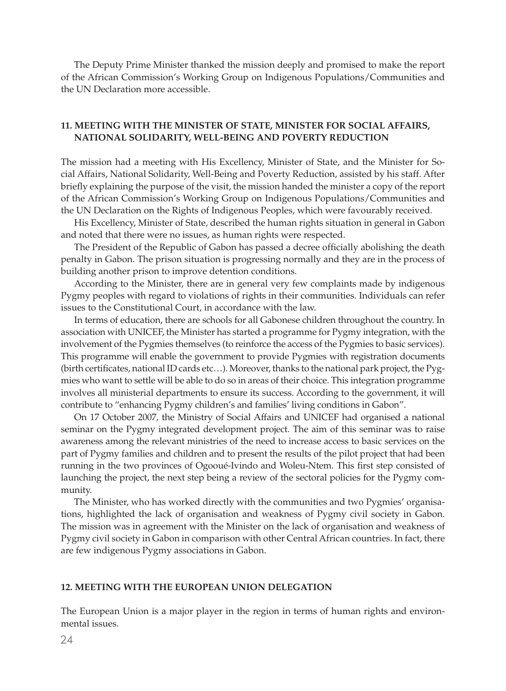The Deputy Prime Minister thanked the mission deeply and promised to make the report of the African Commission's Working Group on Indigenous Populations/Communities and the UN Declaration more accessible.

#### **11. MEETING WITH THE MINISTER OF STATE, MINISTER FOR SOCIAL AFFAIRS, NATIONAL SOLIDARITY, WELL-BEING AND POVERTY REDUCTION**

The mission had a meeting with His Excellency, Minister of State, and the Minister for Social Affairs, National Solidarity, Well-Being and Poverty Reduction, assisted by his staff. After briefly explaining the purpose of the visit, the mission handed the minister a copy of the report of the African Commission's Working Group on Indigenous Populations/Communities and the UN Declaration on the Rights of Indigenous Peoples, which were favourably received.

His Excellency, Minister of State, described the human rights situation in general in Gabon and noted that there were no issues, as human rights were respected.

The President of the Republic of Gabon has passed a decree officially abolishing the death penalty in Gabon. The prison situation is progressing normally and they are in the process of building another prison to improve detention conditions.

According to the Minister, there are in general very few complaints made by indigenous Pygmy peoples with regard to violations of rights in their communities. Individuals can refer issues to the Constitutional Court, in accordance with the law.

In terms of education, there are schools for all Gabonese children throughout the country. In association with UNICEF, the Minister has started a programme for Pygmy integration, with the involvement of the Pygmies themselves (to reinforce the access of the Pygmies to basic services). This programme will enable the government to provide Pygmies with registration documents (birth certificates, national ID cards etc…). Moreover, thanks to the national park project, the Pygmies who want to settle will be able to do so in areas of their choice. This integration programme involves all ministerial departments to ensure its success. According to the government, it will contribute to "enhancing Pygmy children's and families' living conditions in Gabon".

On 17 October 2007, the Ministry of Social Affairs and UNICEF had organised a national seminar on the Pygmy integrated development project. The aim of this seminar was to raise awareness among the relevant ministries of the need to increase access to basic services on the part of Pygmy families and children and to present the results of the pilot project that had been running in the two provinces of Ogooué-Ivindo and Woleu-Ntem. This first step consisted of launching the project, the next step being a review of the sectoral policies for the Pygmy community.

The Minister, who has worked directly with the communities and two Pygmies' organisations, highlighted the lack of organisation and weakness of Pygmy civil society in Gabon. The mission was in agreement with the Minister on the lack of organisation and weakness of Pygmy civil society in Gabon in comparison with other Central African countries. In fact, there are few indigenous Pygmy associations in Gabon.

#### **12. MEETING WITH THE EUROPEAN UNION DELEGATION**

The European Union is a major player in the region in terms of human rights and environmental issues.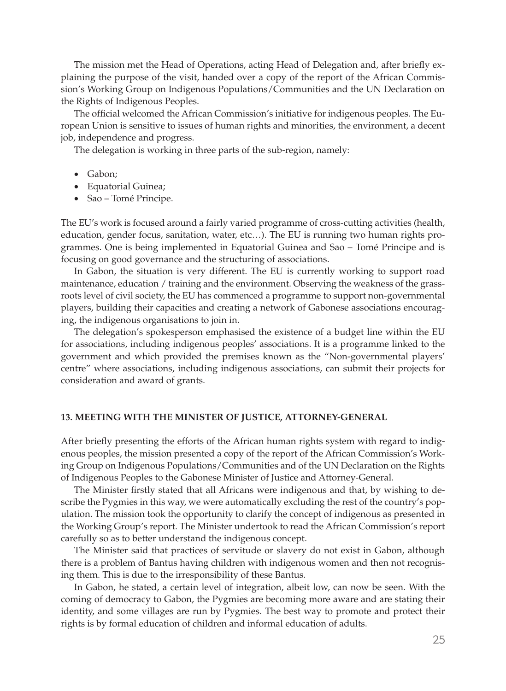The mission met the Head of Operations, acting Head of Delegation and, after briefly explaining the purpose of the visit, handed over a copy of the report of the African Commission's Working Group on Indigenous Populations/Communities and the UN Declaration on the Rights of Indigenous Peoples.

The official welcomed the African Commission's initiative for indigenous peoples. The European Union is sensitive to issues of human rights and minorities, the environment, a decent job, independence and progress.

The delegation is working in three parts of the sub-region, namely:

- Gabon;
- • Equatorial Guinea;
- Sao Tomé Principe.

The EU's work is focused around a fairly varied programme of cross-cutting activities (health, education, gender focus, sanitation, water, etc…). The EU is running two human rights programmes. One is being implemented in Equatorial Guinea and Sao – Tomé Principe and is focusing on good governance and the structuring of associations.

In Gabon, the situation is very different. The EU is currently working to support road maintenance, education / training and the environment. Observing the weakness of the grassroots level of civil society, the EU has commenced a programme to support non-governmental players, building their capacities and creating a network of Gabonese associations encouraging, the indigenous organisations to join in.

The delegation's spokesperson emphasised the existence of a budget line within the EU for associations, including indigenous peoples' associations. It is a programme linked to the government and which provided the premises known as the "Non-governmental players' centre" where associations, including indigenous associations, can submit their projects for consideration and award of grants.

#### **13. MEETING WITH THE MINISTER OF JUSTICE, ATTORNEY-GENERAL**

After briefly presenting the efforts of the African human rights system with regard to indigenous peoples, the mission presented a copy of the report of the African Commission's Working Group on Indigenous Populations/Communities and of the UN Declaration on the Rights of Indigenous Peoples to the Gabonese Minister of Justice and Attorney-General.

The Minister firstly stated that all Africans were indigenous and that, by wishing to describe the Pygmies in this way, we were automatically excluding the rest of the country's population. The mission took the opportunity to clarify the concept of indigenous as presented in the Working Group's report. The Minister undertook to read the African Commission's report carefully so as to better understand the indigenous concept.

The Minister said that practices of servitude or slavery do not exist in Gabon, although there is a problem of Bantus having children with indigenous women and then not recognising them. This is due to the irresponsibility of these Bantus.

In Gabon, he stated, a certain level of integration, albeit low, can now be seen. With the coming of democracy to Gabon, the Pygmies are becoming more aware and are stating their identity, and some villages are run by Pygmies. The best way to promote and protect their rights is by formal education of children and informal education of adults.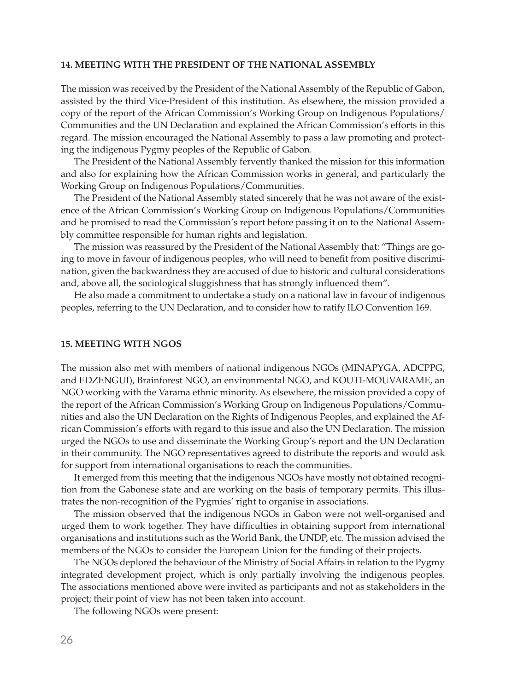#### **14. MEETING WITH THE PRESIDENT OF THE NATIONAL ASSEMBLY**

The mission was received by the President of the National Assembly of the Republic of Gabon, assisted by the third Vice-President of this institution. As elsewhere, the mission provided a copy of the report of the African Commission's Working Group on Indigenous Populations/ Communities and the UN Declaration and explained the African Commission's efforts in this regard. The mission encouraged the National Assembly to pass a law promoting and protecting the indigenous Pygmy peoples of the Republic of Gabon.

The President of the National Assembly fervently thanked the mission for this information and also for explaining how the African Commission works in general, and particularly the Working Group on Indigenous Populations/Communities.

The President of the National Assembly stated sincerely that he was not aware of the existence of the African Commission's Working Group on Indigenous Populations/Communities and he promised to read the Commission's report before passing it on to the National Assembly committee responsible for human rights and legislation.

The mission was reassured by the President of the National Assembly that: "Things are going to move in favour of indigenous peoples, who will need to benefit from positive discrimination, given the backwardness they are accused of due to historic and cultural considerations and, above all, the sociological sluggishness that has strongly influenced them".

He also made a commitment to undertake a study on a national law in favour of indigenous peoples, referring to the UN Declaration, and to consider how to ratify ILO Convention 169.

#### **15. MEETING WITH NGOS**

The mission also met with members of national indigenous NGOs (MINAPYGA, ADCPPG, and EDZENGUI), Brainforest NGO, an environmental NGO, and KOUTI-MOUVARAME, an NGO working with the Varama ethnic minority. As elsewhere, the mission provided a copy of the report of the African Commission's Working Group on Indigenous Populations/Communities and also the UN Declaration on the Rights of Indigenous Peoples, and explained the African Commission's efforts with regard to this issue and also the UN Declaration. The mission urged the NGOs to use and disseminate the Working Group's report and the UN Declaration in their community. The NGO representatives agreed to distribute the reports and would ask for support from international organisations to reach the communities.

It emerged from this meeting that the indigenous NGOs have mostly not obtained recognition from the Gabonese state and are working on the basis of temporary permits. This illustrates the non-recognition of the Pygmies' right to organise in associations.

The mission observed that the indigenous NGOs in Gabon were not well-organised and urged them to work together. They have difficulties in obtaining support from international organisations and institutions such as the World Bank, the UNDP, etc. The mission advised the members of the NGOs to consider the European Union for the funding of their projects.

The NGOs deplored the behaviour of the Ministry of Social Affairs in relation to the Pygmy integrated development project, which is only partially involving the indigenous peoples. The associations mentioned above were invited as participants and not as stakeholders in the project; their point of view has not been taken into account.

The following NGOs were present: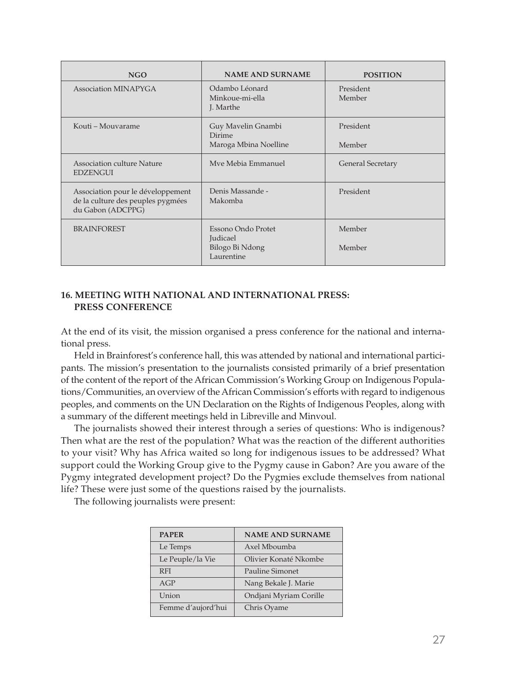| <b>NGO</b>                                                                                  | <b>NAME AND SURNAME</b>                                                | <b>POSITION</b>          |
|---------------------------------------------------------------------------------------------|------------------------------------------------------------------------|--------------------------|
| Association MINAPYGA                                                                        | Odambo Léonard<br>Minkoue-mi-ella<br>J. Marthe                         | President<br>Member      |
| Kouti – Mouvarame                                                                           | Guy Mavelin Gnambi<br><b>Dirime</b><br>Maroga Mbina Noelline           | President<br>Member      |
| Association culture Nature<br><b>EDZENGUI</b>                                               | Mve Mebia Emmanuel                                                     | <b>General Secretary</b> |
| Association pour le développement<br>de la culture des peuples pygmées<br>du Gabon (ADCPPG) | Denis Massande -<br>Makomba                                            | President                |
| <b>BRAINFOREST</b>                                                                          | Essono Ondo Protet<br><b>Judicael</b><br>Bilogo Bi Ndong<br>Laurentine | Member<br>Member         |

#### **16. MEETING WITH NATIONAL AND INTERNATIONAL PRESS: PRESS CONFERENCE**

At the end of its visit, the mission organised a press conference for the national and international press.

Held in Brainforest's conference hall, this was attended by national and international participants. The mission's presentation to the journalists consisted primarily of a brief presentation of the content of the report of the African Commission's Working Group on Indigenous Populations/Communities, an overview of the African Commission's efforts with regard to indigenous peoples, and comments on the UN Declaration on the Rights of Indigenous Peoples, along with a summary of the different meetings held in Libreville and Minvoul.

The journalists showed their interest through a series of questions: Who is indigenous? Then what are the rest of the population? What was the reaction of the different authorities to your visit? Why has Africa waited so long for indigenous issues to be addressed? What support could the Working Group give to the Pygmy cause in Gabon? Are you aware of the Pygmy integrated development project? Do the Pygmies exclude themselves from national life? These were just some of the questions raised by the journalists.

The following journalists were present:

| <b>PAPER</b>       | <b>NAME AND SURNAME</b> |
|--------------------|-------------------------|
| Le Temps           | Axel Mboumba            |
| Le Peuple/la Vie   | Olivier Konaté Nkombe   |
| <b>RFI</b>         | Pauline Simonet         |
| AGP                | Nang Bekale J. Marie    |
| Union              | Ondjani Myriam Corille  |
| Femme d'aujord'hui | Chris Oyame             |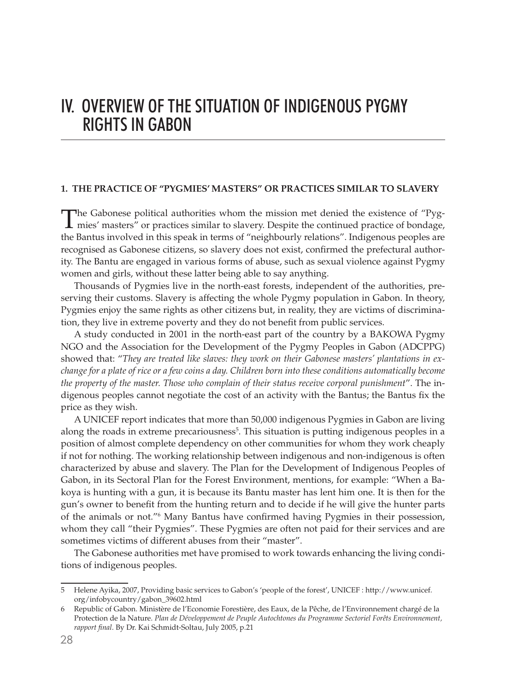# iv. OVERVIEW OF THE SITUATION OF INDIGENOUS PYGMY RIGHTS IN GABON

#### **1. THE PRACTICE OF "PYGMIES' MASTERS" OR PRACTICES SIMILAR TO SLAVERY**

The Gabonese political authorities whom the mission met denied the existence of "Pyg-mies' masters" or practices similar to slavery. Despite the continued practice of bondage, the Bantus involved in this speak in terms of "neighbourly relations". Indigenous peoples are recognised as Gabonese citizens, so slavery does not exist, confirmed the prefectural authority. The Bantu are engaged in various forms of abuse, such as sexual violence against Pygmy women and girls, without these latter being able to say anything.

Thousands of Pygmies live in the north-east forests, independent of the authorities, preserving their customs. Slavery is affecting the whole Pygmy population in Gabon. In theory, Pygmies enjoy the same rights as other citizens but, in reality, they are victims of discrimination, they live in extreme poverty and they do not benefit from public services.

A study conducted in 2001 in the north-east part of the country by a BAKOWA Pygmy NGO and the Association for the Development of the Pygmy Peoples in Gabon (ADCPPG) showed that: "*They are treated like slaves: they work on their Gabonese masters' plantations in exchange for a plate of rice or a few coins a day. Children born into these conditions automatically become the property of the master. Those who complain of their status receive corporal punishment*". The indigenous peoples cannot negotiate the cost of an activity with the Bantus; the Bantus fix the price as they wish.

A UNICEF report indicates that more than 50,000 indigenous Pygmies in Gabon are living along the roads in extreme precariousness<sup>5</sup>. This situation is putting indigenous peoples in a position of almost complete dependency on other communities for whom they work cheaply if not for nothing. The working relationship between indigenous and non-indigenous is often characterized by abuse and slavery. The Plan for the Development of Indigenous Peoples of Gabon, in its Sectoral Plan for the Forest Environment, mentions, for example: "When a Bakoya is hunting with a gun, it is because its Bantu master has lent him one. It is then for the gun's owner to benefit from the hunting return and to decide if he will give the hunter parts of the animals or not."6 Many Bantus have confirmed having Pygmies in their possession, whom they call "their Pygmies". These Pygmies are often not paid for their services and are sometimes victims of different abuses from their "master".

The Gabonese authorities met have promised to work towards enhancing the living conditions of indigenous peoples.

<sup>5</sup> Helene Ayika, 2007, Providing basic services to Gabon's 'people of the forest', UNICEF : http://www.unicef. org/infobycountry/gabon\_39602.html

<sup>6</sup> Republic of Gabon. Ministère de l'Economie Forestière, des Eaux, de la Pêche, de l'Environnement chargé de la Protection de la Nature. *Plan de Développement de Peuple Autochtones du Programme Sectoriel Forêts Environnement, rapport final*. By Dr. Kai Schmidt-Soltau, July 2005, p.21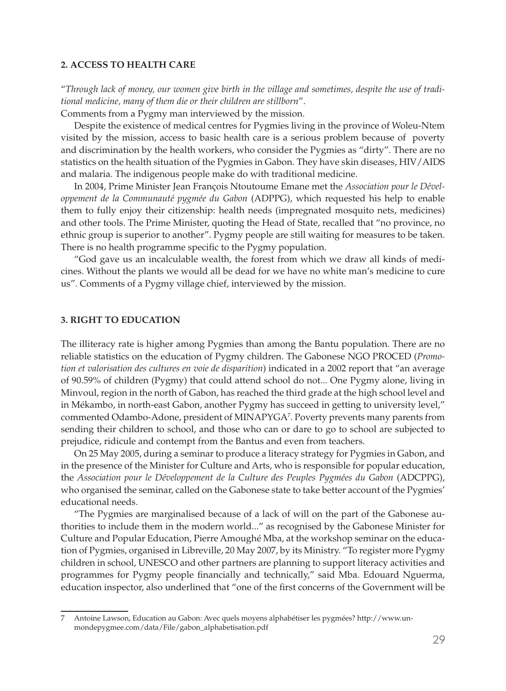#### **2. ACCESS TO HEALTH CARE**

"*Through lack of money, our women give birth in the village and sometimes, despite the use of traditional medicine, many of them die or their children are stillborn*".

Comments from a Pygmy man interviewed by the mission.

Despite the existence of medical centres for Pygmies living in the province of Woleu-Ntem visited by the mission, access to basic health care is a serious problem because of poverty and discrimination by the health workers, who consider the Pygmies as "dirty". There are no statistics on the health situation of the Pygmies in Gabon. They have skin diseases, HIV/AIDS and malaria. The indigenous people make do with traditional medicine.

In 2004, Prime Minister Jean François Ntoutoume Emane met the *Association pour le Développement de la Communauté pygmée du Gabon* (ADPPG), which requested his help to enable them to fully enjoy their citizenship: health needs (impregnated mosquito nets, medicines) and other tools. The Prime Minister, quoting the Head of State, recalled that "no province, no ethnic group is superior to another". Pygmy people are still waiting for measures to be taken. There is no health programme specific to the Pygmy population.

"God gave us an incalculable wealth, the forest from which we draw all kinds of medicines. Without the plants we would all be dead for we have no white man's medicine to cure us". Comments of a Pygmy village chief, interviewed by the mission.

#### **3. RIGHT TO EDUCATION**

The illiteracy rate is higher among Pygmies than among the Bantu population. There are no reliable statistics on the education of Pygmy children. The Gabonese NGO PROCED (*Promotion et valorisation des cultures en voie de disparition*) indicated in a 2002 report that "an average of 90.59% of children (Pygmy) that could attend school do not... One Pygmy alone, living in Minvoul, region in the north of Gabon, has reached the third grade at the high school level and in Mékambo, in north-east Gabon, another Pygmy has succeed in getting to university level," commented Odambo-Adone, president of MINAPYGA7 . Poverty prevents many parents from sending their children to school, and those who can or dare to go to school are subjected to prejudice, ridicule and contempt from the Bantus and even from teachers.

On 25 May 2005, during a seminar to produce a literacy strategy for Pygmies in Gabon, and in the presence of the Minister for Culture and Arts, who is responsible for popular education, the *Association pour le Développement de la Culture des Peuples Pygmées du Gabon* (ADCPPG), who organised the seminar, called on the Gabonese state to take better account of the Pygmies' educational needs.

"The Pygmies are marginalised because of a lack of will on the part of the Gabonese authorities to include them in the modern world..." as recognised by the Gabonese Minister for Culture and Popular Education, Pierre Amoughé Mba, at the workshop seminar on the education of Pygmies, organised in Libreville, 20 May 2007, by its Ministry. "To register more Pygmy children in school, UNESCO and other partners are planning to support literacy activities and programmes for Pygmy people financially and technically," said Mba. Edouard Nguerma, education inspector, also underlined that "one of the first concerns of the Government will be

<sup>7</sup> Antoine Lawson, Education au Gabon: Avec quels moyens alphabétiser les pygmées? http://www.unmondepygmee.com/data/File/gabon\_alphabetisation.pdf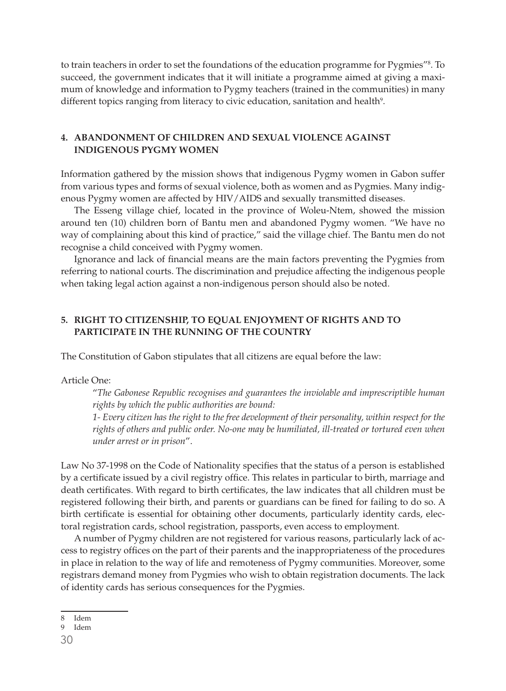to train teachers in order to set the foundations of the education programme for Pygmies"<sup>8</sup>. To succeed, the government indicates that it will initiate a programme aimed at giving a maximum of knowledge and information to Pygmy teachers (trained in the communities) in many different topics ranging from literacy to civic education, sanitation and health<sup>9</sup>.

#### **4. ABANDONMENT OF CHILDREN AND SEXUAL VIOLENCE AGAINST INDIGENOUS PYGMY WOMEN**

Information gathered by the mission shows that indigenous Pygmy women in Gabon suffer from various types and forms of sexual violence, both as women and as Pygmies. Many indigenous Pygmy women are affected by HIV/AIDS and sexually transmitted diseases.

The Esseng village chief, located in the province of Woleu-Ntem, showed the mission around ten (10) children born of Bantu men and abandoned Pygmy women. "We have no way of complaining about this kind of practice," said the village chief. The Bantu men do not recognise a child conceived with Pygmy women.

Ignorance and lack of financial means are the main factors preventing the Pygmies from referring to national courts. The discrimination and prejudice affecting the indigenous people when taking legal action against a non-indigenous person should also be noted.

#### **5. RIGHT TO CITIZENSHIP, TO EQUAL ENJOYMENT OF RIGHTS AND TO PARTICIPATE IN THE RUNNING OF THE COUNTRY**

The Constitution of Gabon stipulates that all citizens are equal before the law:

#### Article One:

"*The Gabonese Republic recognises and guarantees the inviolable and imprescriptible human rights by which the public authorities are bound:* 

*1- Every citizen has the right to the free development of their personality, within respect for the rights of others and public order. No-one may be humiliated, ill-treated or tortured even when under arrest or in prison*".

Law No 37-1998 on the Code of Nationality specifies that the status of a person is established by a certificate issued by a civil registry office. This relates in particular to birth, marriage and death certificates. With regard to birth certificates, the law indicates that all children must be registered following their birth, and parents or guardians can be fined for failing to do so. A birth certificate is essential for obtaining other documents, particularly identity cards, electoral registration cards, school registration, passports, even access to employment.

A number of Pygmy children are not registered for various reasons, particularly lack of access to registry offices on the part of their parents and the inappropriateness of the procedures in place in relation to the way of life and remoteness of Pygmy communities. Moreover, some registrars demand money from Pygmies who wish to obtain registration documents. The lack of identity cards has serious consequences for the Pygmies.

<sup>8</sup> Idem

<sup>9</sup> Idem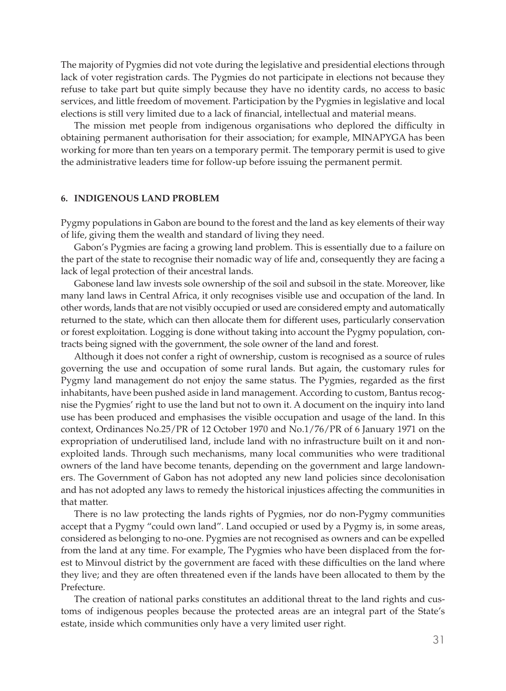The majority of Pygmies did not vote during the legislative and presidential elections through lack of voter registration cards. The Pygmies do not participate in elections not because they refuse to take part but quite simply because they have no identity cards, no access to basic services, and little freedom of movement. Participation by the Pygmies in legislative and local elections is still very limited due to a lack of financial, intellectual and material means.

The mission met people from indigenous organisations who deplored the difficulty in obtaining permanent authorisation for their association; for example, MINAPYGA has been working for more than ten years on a temporary permit. The temporary permit is used to give the administrative leaders time for follow-up before issuing the permanent permit.

#### **6. INDIGENOUS LAND PROBLEM**

Pygmy populations in Gabon are bound to the forest and the land as key elements of their way of life, giving them the wealth and standard of living they need.

Gabon's Pygmies are facing a growing land problem. This is essentially due to a failure on the part of the state to recognise their nomadic way of life and, consequently they are facing a lack of legal protection of their ancestral lands.

Gabonese land law invests sole ownership of the soil and subsoil in the state. Moreover, like many land laws in Central Africa, it only recognises visible use and occupation of the land. In other words, lands that are not visibly occupied or used are considered empty and automatically returned to the state, which can then allocate them for different uses, particularly conservation or forest exploitation. Logging is done without taking into account the Pygmy population, contracts being signed with the government, the sole owner of the land and forest.

Although it does not confer a right of ownership, custom is recognised as a source of rules governing the use and occupation of some rural lands. But again, the customary rules for Pygmy land management do not enjoy the same status. The Pygmies, regarded as the first inhabitants, have been pushed aside in land management. According to custom, Bantus recognise the Pygmies' right to use the land but not to own it. A document on the inquiry into land use has been produced and emphasises the visible occupation and usage of the land. In this context, Ordinances No.25/PR of 12 October 1970 and No.1/76/PR of 6 January 1971 on the expropriation of underutilised land, include land with no infrastructure built on it and nonexploited lands. Through such mechanisms, many local communities who were traditional owners of the land have become tenants, depending on the government and large landowners. The Government of Gabon has not adopted any new land policies since decolonisation and has not adopted any laws to remedy the historical injustices affecting the communities in that matter.

There is no law protecting the lands rights of Pygmies, nor do non-Pygmy communities accept that a Pygmy "could own land". Land occupied or used by a Pygmy is, in some areas, considered as belonging to no-one. Pygmies are not recognised as owners and can be expelled from the land at any time. For example, The Pygmies who have been displaced from the forest to Minvoul district by the government are faced with these difficulties on the land where they live; and they are often threatened even if the lands have been allocated to them by the Prefecture.

The creation of national parks constitutes an additional threat to the land rights and customs of indigenous peoples because the protected areas are an integral part of the State's estate, inside which communities only have a very limited user right.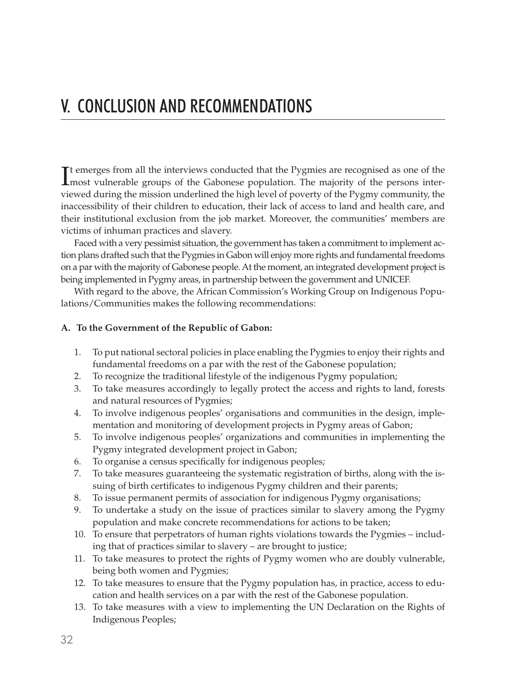It emerges from all the interviews conducted that the Pygmies are recognised as one of the most vulnerable groups of the Gabonese population. The majority of the persons intermost vulnerable groups of the Gabonese population. The majority of the persons interviewed during the mission underlined the high level of poverty of the Pygmy community, the inaccessibility of their children to education, their lack of access to land and health care, and their institutional exclusion from the job market. Moreover, the communities' members are victims of inhuman practices and slavery.

Faced with a very pessimist situation, the government has taken a commitment to implement action plans drafted such that the Pygmies in Gabon will enjoy more rights and fundamental freedoms on a par with the majority of Gabonese people. At the moment, an integrated development project is being implemented in Pygmy areas, in partnership between the government and UNICEF.

With regard to the above, the African Commission's Working Group on Indigenous Populations/Communities makes the following recommendations:

#### **A. To the Government of the Republic of Gabon:**

- 1. To put national sectoral policies in place enabling the Pygmies to enjoy their rights and fundamental freedoms on a par with the rest of the Gabonese population;
- 2. To recognize the traditional lifestyle of the indigenous Pygmy population;
- 3. To take measures accordingly to legally protect the access and rights to land, forests and natural resources of Pygmies;
- 4. To involve indigenous peoples' organisations and communities in the design, implementation and monitoring of development projects in Pygmy areas of Gabon;
- 5. To involve indigenous peoples' organizations and communities in implementing the Pygmy integrated development project in Gabon;
- 6. To organise a census specifically for indigenous peoples;
- 7. To take measures guaranteeing the systematic registration of births, along with the issuing of birth certificates to indigenous Pygmy children and their parents;
- 8. To issue permanent permits of association for indigenous Pygmy organisations;
- 9. To undertake a study on the issue of practices similar to slavery among the Pygmy population and make concrete recommendations for actions to be taken;
- 10. To ensure that perpetrators of human rights violations towards the Pygmies including that of practices similar to slavery – are brought to justice;
- 11. To take measures to protect the rights of Pygmy women who are doubly vulnerable, being both women and Pygmies;
- 12. To take measures to ensure that the Pygmy population has, in practice, access to education and health services on a par with the rest of the Gabonese population.
- 13. To take measures with a view to implementing the UN Declaration on the Rights of Indigenous Peoples;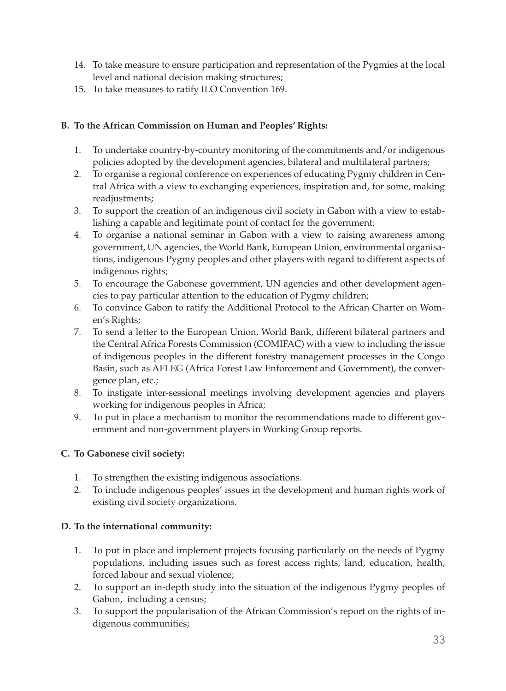- 14. To take measure to ensure participation and representation of the Pygmies at the local level and national decision making structures;
- 15. To take measures to ratify ILO Convention 169.

#### **B. To the African Commission on Human and Peoples' Rights:**

- 1. To undertake country-by-country monitoring of the commitments and/or indigenous policies adopted by the development agencies, bilateral and multilateral partners;
- 2. To organise a regional conference on experiences of educating Pygmy children in Central Africa with a view to exchanging experiences, inspiration and, for some, making readjustments;
- 3. To support the creation of an indigenous civil society in Gabon with a view to establishing a capable and legitimate point of contact for the government;
- 4. To organise a national seminar in Gabon with a view to raising awareness among government, UN agencies, the World Bank, European Union, environmental organisations, indigenous Pygmy peoples and other players with regard to different aspects of indigenous rights;
- 5. To encourage the Gabonese government, UN agencies and other development agencies to pay particular attention to the education of Pygmy children;
- 6. To convince Gabon to ratify the Additional Protocol to the African Charter on Women's Rights;
- 7. To send a letter to the European Union, World Bank, different bilateral partners and the Central Africa Forests Commission (COMIFAC) with a view to including the issue of indigenous peoples in the different forestry management processes in the Congo Basin, such as AFLEG (Africa Forest Law Enforcement and Government), the convergence plan, etc.;
- 8. To instigate inter-sessional meetings involving development agencies and players working for indigenous peoples in Africa;
- 9. To put in place a mechanism to monitor the recommendations made to different government and non-government players in Working Group reports.

#### **C. To Gabonese civil society:**

- 1. To strengthen the existing indigenous associations.
- 2. To include indigenous peoples' issues in the development and human rights work of existing civil society organizations.

#### **D. To the international community:**

- 1. To put in place and implement projects focusing particularly on the needs of Pygmy populations, including issues such as forest access rights, land, education, health, forced labour and sexual violence;
- 2. To support an in-depth study into the situation of the indigenous Pygmy peoples of Gabon, including a census;
- 3. To support the popularisation of the African Commission's report on the rights of indigenous communities;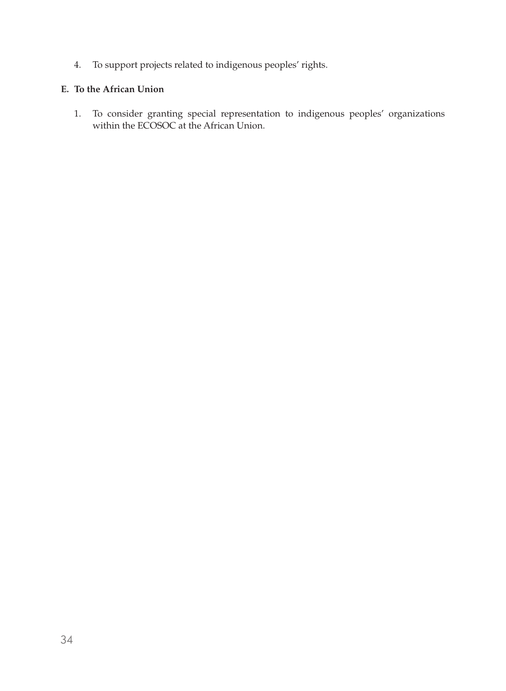4. To support projects related to indigenous peoples' rights.

#### **E. To the African Union**

1. To consider granting special representation to indigenous peoples' organizations within the ECOSOC at the African Union.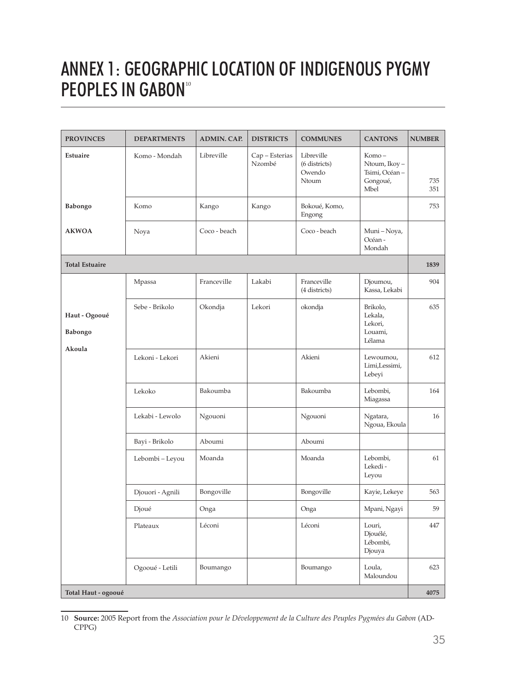# ANNEX 1: Geographic location of indigenous Pygmy PEOPLES IN GABON<sup>10</sup>

| <b>PROVINCES</b>         | <b>DEPARTMENTS</b> | <b>ADMIN. CAP.</b> | <b>DISTRICTS</b>         | <b>COMMUNES</b>                                | <b>CANTONS</b>                                              | <b>NUMBER</b> |
|--------------------------|--------------------|--------------------|--------------------------|------------------------------------------------|-------------------------------------------------------------|---------------|
| Estuaire                 | Komo - Mondah      | Libreville         | Cap - Esterias<br>Nzombé | Libreville<br>(6 districts)<br>Owendo<br>Ntoum | Komo-<br>Ntoum, Ikoy -<br>Tsimi, Océan-<br>Gongoué,<br>Mbel | 735<br>351    |
| Babongo                  | Komo               | Kango              | Kango                    | Bokoué, Komo,<br>Engong                        |                                                             | 753           |
| <b>AKWOA</b>             | Noya               | Coco - beach       |                          | Coco - beach                                   | Muni - Noya,<br>Océan-<br>Mondah                            |               |
| <b>Total Estuaire</b>    |                    |                    |                          |                                                |                                                             | 1839          |
|                          | Mpassa             | Franceville        | Lakabi                   | Franceville<br>(4 districts)                   | Djoumou,<br>Kassa, Lekabi                                   | 904           |
| Haut - Ogooué<br>Babongo | Sebe - Brikolo     | Okondja            | Lekori                   | okondja                                        | Brikolo,<br>Lekala,<br>Lekori,<br>Louami,<br>Lélama         | 635           |
| Akoula                   | Lekoni - Lekori    | Akieni             |                          | Akieni                                         | Lewoumou,<br>Limi,Lessimi,<br>Lebeyi                        | 612           |
|                          | Lekoko             | Bakoumba           |                          | Bakoumba                                       | Lebombi,<br>Miagassa                                        | 164           |
|                          | Lekabi - Lewolo    | Ngouoni            |                          | Ngouoni                                        | Ngatara,<br>Ngoua, Ekoula                                   | 16            |
|                          | Bayi - Brikolo     | Aboumi             |                          | Aboumi                                         |                                                             |               |
|                          | Lebombi - Leyou    | Moanda             |                          | Moanda                                         | Lebombi,<br>Lekedi-<br>Leyou                                | 61            |
|                          | Djouori - Agnili   | Bongoville         |                          | Bongoville                                     | Kayie, Lekeye                                               | 563           |
|                          | Djoué              | Onga               |                          | Onga                                           | Mpani, Ngayi                                                | 59            |
|                          | Plateaux           | Léconi             |                          | Léconi                                         | Louri,<br>Djouélé,<br>Lébombi,<br>Djouya                    | 447           |
|                          | Ogooué - Letili    | Boumango           |                          | Boumango                                       | Loula,<br>Maloundou                                         | 623           |
| Total Haut - ogooué      |                    |                    |                          |                                                |                                                             | 4075          |

<sup>10</sup> **Source:** 2005 Report from the *Association pour le Développement de la Culture des Peuples Pygmées du Gabon* (AD-CPPG)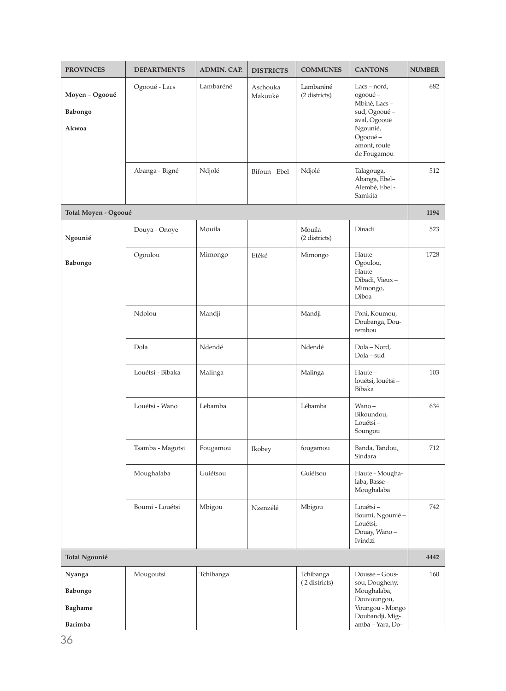| <b>PROVINCES</b>                               | <b>DEPARTMENTS</b> | <b>ADMIN. CAP.</b> | <b>DISTRICTS</b>    | <b>COMMUNES</b>            | <b>CANTONS</b>                                                                                                                   | <b>NUMBER</b> |
|------------------------------------------------|--------------------|--------------------|---------------------|----------------------------|----------------------------------------------------------------------------------------------------------------------------------|---------------|
| Moyen - Ogooué<br>Babongo<br>Akwoa             | Ogooué - Lacs      | Lambaréné          | Aschouka<br>Makouké | Lambaréné<br>(2 districts) | $Lacs - nord,$<br>ogooué-<br>Mbiné, Lacs-<br>sud, Ogooué -<br>aval, Ogooué<br>Ngounié,<br>Ogooué-<br>amont, route<br>de Fougamou | 682           |
|                                                | Abanga - Bigné     | Ndjolé             | Bifoun - Ebel       | Ndjolé                     | Talagouga,<br>Abanga, Ebel-<br>Alembé, Ebel -<br>Samkita                                                                         | 512           |
| Total Moyen - Ogooué                           |                    |                    |                     |                            |                                                                                                                                  | 1194          |
| Ngounié                                        | Douya - Onoye      | Mouila             |                     | Mouila<br>(2 districts)    | Dinadi                                                                                                                           | 523           |
| Babongo                                        | Ogoulou            | Mimongo            | Etéké               | Mimongo                    | Haute-<br>Ogoulou,<br>Haute-<br>Dibadi, Vieux-<br>Mimongo,<br>Diboa                                                              | 1728          |
|                                                | Ndolou             | Mandji             |                     | Mandji                     | Poni, Koumou,<br>Doubanga, Dou-<br>rembou                                                                                        |               |
|                                                | Dola               | Ndendé             |                     | Ndendé                     | Dola – Nord,<br>Dola – sud                                                                                                       |               |
|                                                | Louétsi - Bibaka   | Malinga            |                     | Malinga                    | Haute-<br>louétsi, louétsi-<br>Bibaka                                                                                            | 103           |
|                                                | Louétsi - Wano     | Lebamba            |                     | Lébamba                    | Wano-<br>Bikoundou,<br>Louétsi-<br>Soungou                                                                                       | 634           |
|                                                | Tsamba - Magotsi   | Fougamou           | Ikobey              | fougamou                   | Banda, Tandou,<br>Sindara                                                                                                        | 712           |
|                                                | Moughalaba         | Guiétsou           |                     | Guiétsou                   | Haute - Mougha-<br>laba, Basse –<br>Moughalaba                                                                                   |               |
|                                                | Boumi - Louétsi    | Mbigou             | Nzenzélé            | Mbigou                     | Louétsi-<br>Boumi, Ngounié -<br>Louétsi,<br>Douay, Wano-<br>Ivindzi                                                              | 742           |
| Total Ngounié                                  |                    |                    |                     |                            |                                                                                                                                  | 4442          |
| Nyanga<br>Babongo<br><b>Baghame</b><br>Barimba | Mougoutsi          | Tchibanga          |                     | Tchibanga<br>(2 districts) | Dousse - Gous-<br>sou, Dougheny,<br>Moughalaba,<br>Douvoungou,<br>Voungou - Mongo<br>Doubandji, Mig-<br>amba - Yara, Do-         | 160           |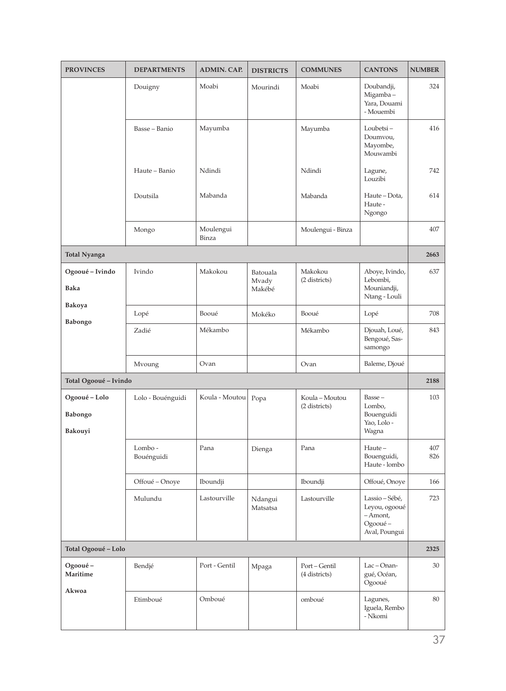| <b>PROVINCES</b>                    | <b>DEPARTMENTS</b>   | <b>ADMIN. CAP.</b> | <b>DISTRICTS</b>            | <b>COMMUNES</b>                 | <b>CANTONS</b>                                                            | <b>NUMBER</b> |
|-------------------------------------|----------------------|--------------------|-----------------------------|---------------------------------|---------------------------------------------------------------------------|---------------|
|                                     | Douigny              | Moabi              | Mourindi                    | Moabi                           | Doubandji,<br>Migamba-<br>Yara, Douami<br>- Mouembi                       | 324           |
|                                     | Basse – Banio        | Mayumba            |                             | Mayumba                         | Loubetsi-<br>Doumvou,<br>Mayombe,<br>Mouwambi                             | 416           |
|                                     | Haute - Banio        | Ndindi             |                             | Ndindi                          | Lagune,<br>Louzibi                                                        | 742           |
|                                     | Doutsila             | Mabanda            |                             | Mabanda                         | Haute - Dota,<br>Haute -<br>Ngongo                                        | 614           |
|                                     | Mongo                | Moulengui<br>Binza |                             | Moulengui - Binza               |                                                                           | 407           |
| <b>Total Nyanga</b>                 |                      |                    |                             |                                 |                                                                           | 2663          |
| Ogooué – Ivindo<br><b>Baka</b>      | Ivindo               | Makokou            | Batouala<br>Mvady<br>Makébé | Makokou<br>(2 districts)        | Aboye, Ivindo,<br>Lebombi,<br>Mouniandji,<br>Ntang - Louli                | 637           |
| Bakoya                              | Lopé                 | Booué              | Mokéko                      | Booué                           | Lopé                                                                      | 708           |
| Babongo                             | Zadié                | Mékambo            |                             | Mékambo                         | Djouah, Loué,<br>Bengoué, Sas-<br>samongo                                 | 843           |
|                                     | Mvoung               | Ovan               |                             | Ovan                            | Baleme, Djoué                                                             |               |
| Total Ogooué - Ivindo               |                      |                    |                             |                                 |                                                                           | 2188          |
| Ogooué - Lolo<br>Babongo<br>Bakouyi | Lolo - Bouénguidi    | Koula - Moutou     | Popa                        | Koula - Moutou<br>(2 districts) | Basse-<br>Lombo,<br>Bouenguidi<br>Yao, Lolo -<br>Wagna                    | 103           |
|                                     | Lombo-<br>Bouénguidi | Pana               | Dienga                      | Pana                            | Haute-<br>Bouenguidi,<br>Haute - lombo                                    | 407<br>826    |
|                                     | Offoué - Onoye       | Iboundji           |                             | Iboundji                        | Offoué, Onoye                                                             | 166           |
|                                     | Mulundu              | Lastourville       | Ndangui<br>Matsatsa         | Lastourville                    | Lassio – Sébé,<br>Leyou, ogooué<br>$-Amont,$<br>Ogooué -<br>Aval, Poungui | 723           |
| Total Ogooué - Lolo                 |                      |                    |                             |                                 |                                                                           | 2325          |
| Ogooué-<br>Maritime                 | Bendjé               | Port - Gentil      | Mpaga                       | Port-Gentil<br>(4 districts)    | Lac - Onan-<br>gué, Océan,<br>Ogooué                                      | 30            |
| Akwoa                               | Etimboué             | Omboué             |                             | omboué                          | Lagunes,<br>Iguela, Rembo<br>- Nkomi                                      | 80            |